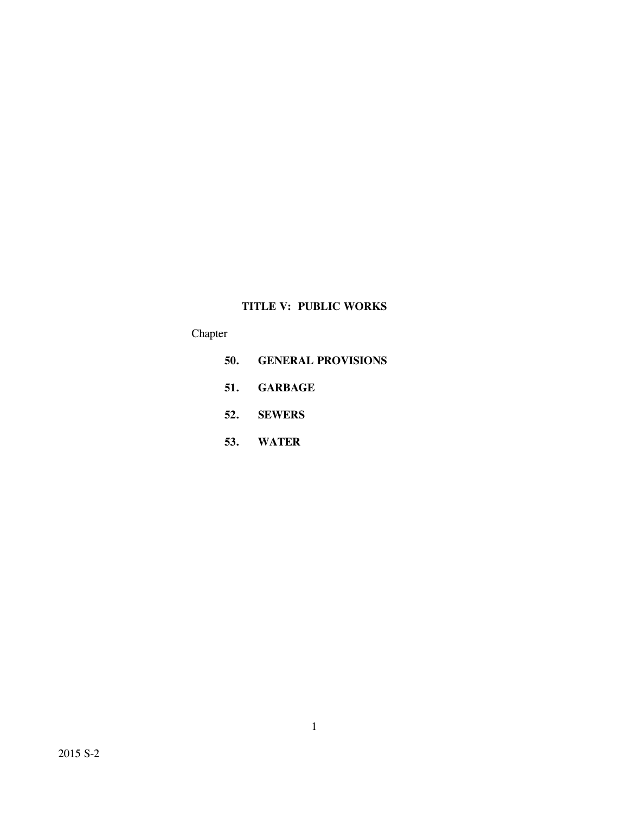# **TITLE V: PUBLIC WORKS**

# Chapter

- **50. GENERAL PROVISIONS**
- **51. GARBAGE**
- **52. SEWERS**
- **53. WATER**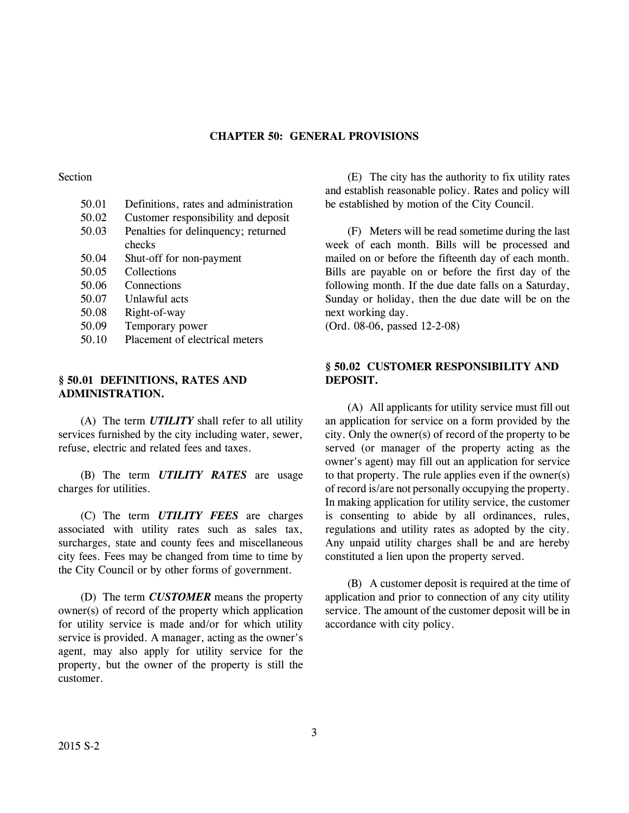# **CHAPTER 50: GENERAL PROVISIONS**

### Section

- 50.01 Definitions, rates and administration
- 50.02 Customer responsibility and deposit
- 50.03 Penalties for delinquency; returned
- checks
- 50.04 Shut-off for non-payment
- 50.05 Collections
- 50.06 Connections
- 50.07 Unlawful acts
- 50.08 Right-of-way
- 50.09 Temporary power
- 50.10 Placement of electrical meters

# **§ 50.01 DEFINITIONS, RATES AND ADMINISTRATION.**

(A) The term *UTILITY* shall refer to all utility services furnished by the city including water, sewer, refuse, electric and related fees and taxes.

(B) The term *UTILITY RATES* are usage charges for utilities.

(C) The term *UTILITY FEES* are charges associated with utility rates such as sales tax, surcharges, state and county fees and miscellaneous city fees. Fees may be changed from time to time by the City Council or by other forms of government.

(D) The term *CUSTOMER* means the property owner(s) of record of the property which application for utility service is made and/or for which utility service is provided. A manager, acting as the owner's agent, may also apply for utility service for the property, but the owner of the property is still the customer.

(E) The city has the authority to fix utility rates and establish reasonable policy. Rates and policy will be established by motion of the City Council.

(F) Meters will be read sometime during the last week of each month. Bills will be processed and mailed on or before the fifteenth day of each month. Bills are payable on or before the first day of the following month. If the due date falls on a Saturday, Sunday or holiday, then the due date will be on the next working day.

(Ord. 08-06, passed 12-2-08)

# **§ 50.02 CUSTOMER RESPONSIBILITY AND DEPOSIT.**

(A) All applicants for utility service must fill out an application for service on a form provided by the city. Only the owner(s) of record of the property to be served (or manager of the property acting as the owner's agent) may fill out an application for service to that property. The rule applies even if the owner(s) of record is/are not personally occupying the property. In making application for utility service, the customer is consenting to abide by all ordinances, rules, regulations and utility rates as adopted by the city. Any unpaid utility charges shall be and are hereby constituted a lien upon the property served.

(B) A customer deposit is required at the time of application and prior to connection of any city utility service. The amount of the customer deposit will be in accordance with city policy.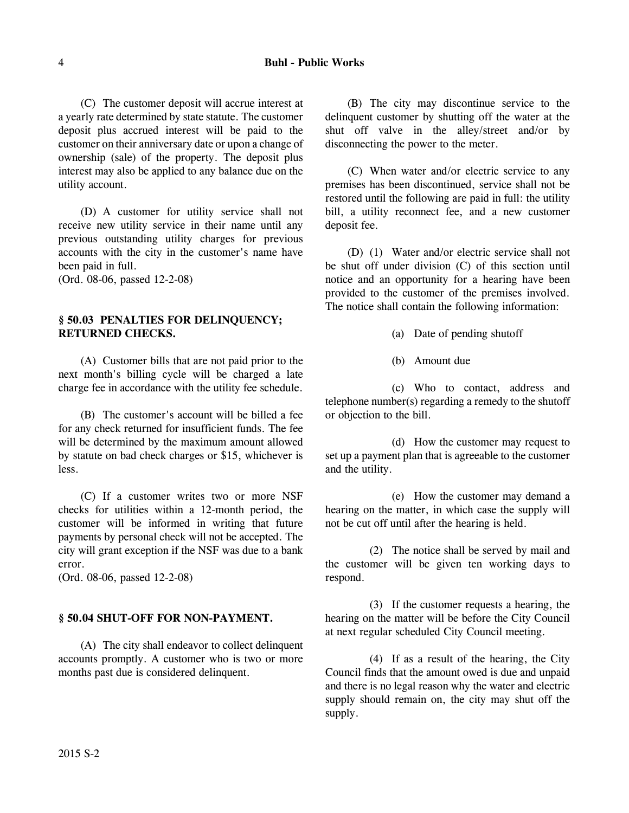(C) The customer deposit will accrue interest at a yearly rate determined by state statute. The customer deposit plus accrued interest will be paid to the customer on their anniversary date or upon a change of ownership (sale) of the property. The deposit plus interest may also be applied to any balance due on the utility account.

(D) A customer for utility service shall not receive new utility service in their name until any previous outstanding utility charges for previous accounts with the city in the customer's name have been paid in full.

(Ord. 08-06, passed 12-2-08)

# **§ 50.03 PENALTIES FOR DELINQUENCY; RETURNED CHECKS.**

(A) Customer bills that are not paid prior to the next month's billing cycle will be charged a late charge fee in accordance with the utility fee schedule.

(B) The customer's account will be billed a fee for any check returned for insufficient funds. The fee will be determined by the maximum amount allowed by statute on bad check charges or \$15, whichever is less.

(C) If a customer writes two or more NSF checks for utilities within a 12-month period, the customer will be informed in writing that future payments by personal check will not be accepted. The city will grant exception if the NSF was due to a bank error.

(Ord. 08-06, passed 12-2-08)

# **§ 50.04 SHUT-OFF FOR NON-PAYMENT.**

(A) The city shall endeavor to collect delinquent accounts promptly. A customer who is two or more months past due is considered delinquent.

(B) The city may discontinue service to the delinquent customer by shutting off the water at the shut off valve in the alley/street and/or by disconnecting the power to the meter.

(C) When water and/or electric service to any premises has been discontinued, service shall not be restored until the following are paid in full: the utility bill, a utility reconnect fee, and a new customer deposit fee.

(D) (1) Water and/or electric service shall not be shut off under division (C) of this section until notice and an opportunity for a hearing have been provided to the customer of the premises involved. The notice shall contain the following information:

- (a) Date of pending shutoff
- (b) Amount due

(c) Who to contact, address and telephone number(s) regarding a remedy to the shutoff or objection to the bill.

(d) How the customer may request to set up a payment plan that is agreeable to the customer and the utility.

(e) How the customer may demand a hearing on the matter, in which case the supply will not be cut off until after the hearing is held.

(2) The notice shall be served by mail and the customer will be given ten working days to respond.

(3) If the customer requests a hearing, the hearing on the matter will be before the City Council at next regular scheduled City Council meeting.

(4) If as a result of the hearing, the City Council finds that the amount owed is due and unpaid and there is no legal reason why the water and electric supply should remain on, the city may shut off the supply.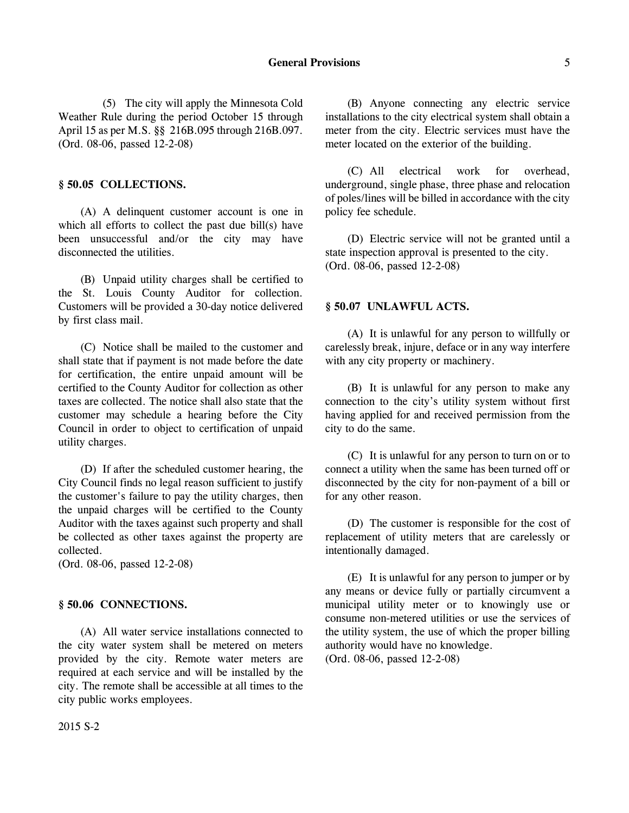(5) The city will apply the Minnesota Cold Weather Rule during the period October 15 through April 15 as per M.S. §§ 216B.095 through 216B.097. (Ord. 08-06, passed 12-2-08)

#### **§ 50.05 COLLECTIONS.**

(A) A delinquent customer account is one in which all efforts to collect the past due bill(s) have been unsuccessful and/or the city may have disconnected the utilities.

(B) Unpaid utility charges shall be certified to the St. Louis County Auditor for collection. Customers will be provided a 30-day notice delivered by first class mail.

(C) Notice shall be mailed to the customer and shall state that if payment is not made before the date for certification, the entire unpaid amount will be certified to the County Auditor for collection as other taxes are collected. The notice shall also state that the customer may schedule a hearing before the City Council in order to object to certification of unpaid utility charges.

(D) If after the scheduled customer hearing, the City Council finds no legal reason sufficient to justify the customer's failure to pay the utility charges, then the unpaid charges will be certified to the County Auditor with the taxes against such property and shall be collected as other taxes against the property are collected.

(Ord. 08-06, passed 12-2-08)

# **§ 50.06 CONNECTIONS.**

(A) All water service installations connected to the city water system shall be metered on meters provided by the city. Remote water meters are required at each service and will be installed by the city. The remote shall be accessible at all times to the city public works employees.

(B) Anyone connecting any electric service installations to the city electrical system shall obtain a meter from the city. Electric services must have the meter located on the exterior of the building.

(C) All electrical work for overhead, underground, single phase, three phase and relocation of poles/lines will be billed in accordance with the city policy fee schedule.

(D) Electric service will not be granted until a state inspection approval is presented to the city. (Ord. 08-06, passed 12-2-08)

#### **§ 50.07 UNLAWFUL ACTS.**

(A) It is unlawful for any person to willfully or carelessly break, injure, deface or in any way interfere with any city property or machinery.

(B) It is unlawful for any person to make any connection to the city's utility system without first having applied for and received permission from the city to do the same.

(C) It is unlawful for any person to turn on or to connect a utility when the same has been turned off or disconnected by the city for non-payment of a bill or for any other reason.

(D) The customer is responsible for the cost of replacement of utility meters that are carelessly or intentionally damaged.

(E) It is unlawful for any person to jumper or by any means or device fully or partially circumvent a municipal utility meter or to knowingly use or consume non-metered utilities or use the services of the utility system, the use of which the proper billing authority would have no knowledge. (Ord. 08-06, passed 12-2-08)

2015 S-2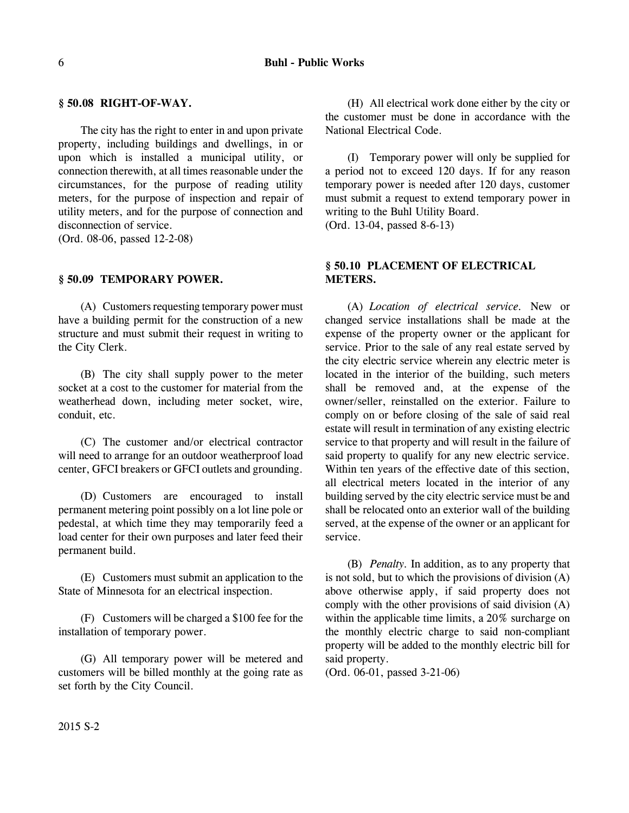#### **§ 50.08 RIGHT-OF-WAY.**

The city has the right to enter in and upon private property, including buildings and dwellings, in or upon which is installed a municipal utility, or connection therewith, at all times reasonable under the circumstances, for the purpose of reading utility meters, for the purpose of inspection and repair of utility meters, and for the purpose of connection and disconnection of service.

(Ord. 08-06, passed 12-2-08)

#### **§ 50.09 TEMPORARY POWER.**

(A) Customers requesting temporary power must have a building permit for the construction of a new structure and must submit their request in writing to the City Clerk.

(B) The city shall supply power to the meter socket at a cost to the customer for material from the weatherhead down, including meter socket, wire, conduit, etc.

(C) The customer and/or electrical contractor will need to arrange for an outdoor weatherproof load center, GFCI breakers or GFCI outlets and grounding.

(D) Customers are encouraged to install permanent metering point possibly on a lot line pole or pedestal, at which time they may temporarily feed a load center for their own purposes and later feed their permanent build.

(E) Customers must submit an application to the State of Minnesota for an electrical inspection.

(F) Customers will be charged a \$100 fee for the installation of temporary power.

(G) All temporary power will be metered and customers will be billed monthly at the going rate as set forth by the City Council.

(H) All electrical work done either by the city or the customer must be done in accordance with the National Electrical Code.

(I) Temporary power will only be supplied for a period not to exceed 120 days. If for any reason temporary power is needed after 120 days, customer must submit a request to extend temporary power in writing to the Buhl Utility Board.

(Ord. 13-04, passed 8-6-13)

# **§ 50.10 PLACEMENT OF ELECTRICAL METERS.**

(A) *Location of electrical service.* New or changed service installations shall be made at the expense of the property owner or the applicant for service. Prior to the sale of any real estate served by the city electric service wherein any electric meter is located in the interior of the building, such meters shall be removed and, at the expense of the owner/seller, reinstalled on the exterior. Failure to comply on or before closing of the sale of said real estate will result in termination of any existing electric service to that property and will result in the failure of said property to qualify for any new electric service. Within ten years of the effective date of this section, all electrical meters located in the interior of any building served by the city electric service must be and shall be relocated onto an exterior wall of the building served, at the expense of the owner or an applicant for service.

(B) *Penalty.* In addition, as to any property that is not sold, but to which the provisions of division  $(A)$ above otherwise apply, if said property does not comply with the other provisions of said division (A) within the applicable time limits, a 20% surcharge on the monthly electric charge to said non-compliant property will be added to the monthly electric bill for said property.

(Ord. 06-01, passed 3-21-06)

2015 S-2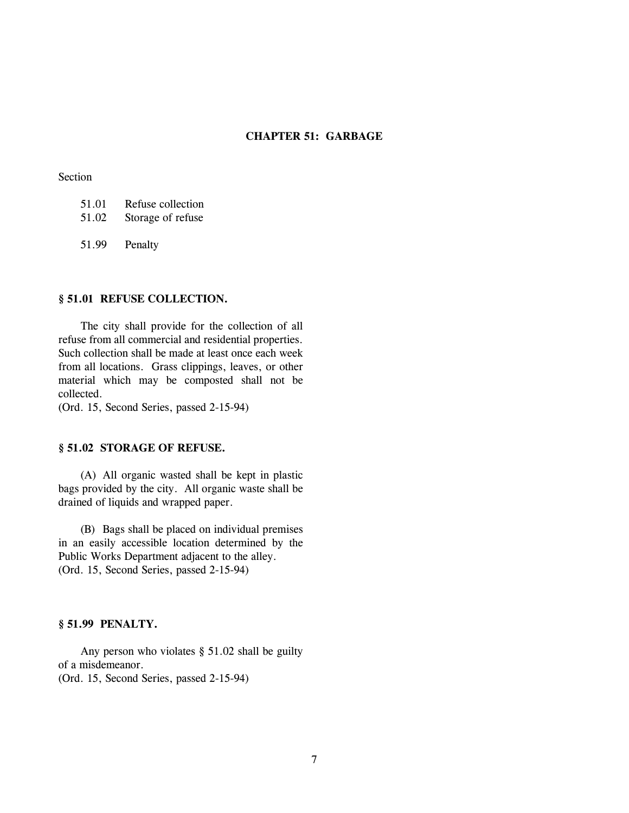# **CHAPTER 51: GARBAGE**

### Section

| 51.01 | Refuse collection |
|-------|-------------------|
| 51.02 | Storage of refuse |

51.99 Penalty

# **§ 51.01 REFUSE COLLECTION.**

The city shall provide for the collection of all refuse from all commercial and residential properties. Such collection shall be made at least once each week from all locations. Grass clippings, leaves, or other material which may be composted shall not be collected.

(Ord. 15, Second Series, passed 2-15-94)

# **§ 51.02 STORAGE OF REFUSE.**

(A) All organic wasted shall be kept in plastic bags provided by the city. All organic waste shall be drained of liquids and wrapped paper.

(B) Bags shall be placed on individual premises in an easily accessible location determined by the Public Works Department adjacent to the alley. (Ord. 15, Second Series, passed 2-15-94)

#### **§ 51.99 PENALTY.**

Any person who violates § 51.02 shall be guilty of a misdemeanor.

(Ord. 15, Second Series, passed 2-15-94)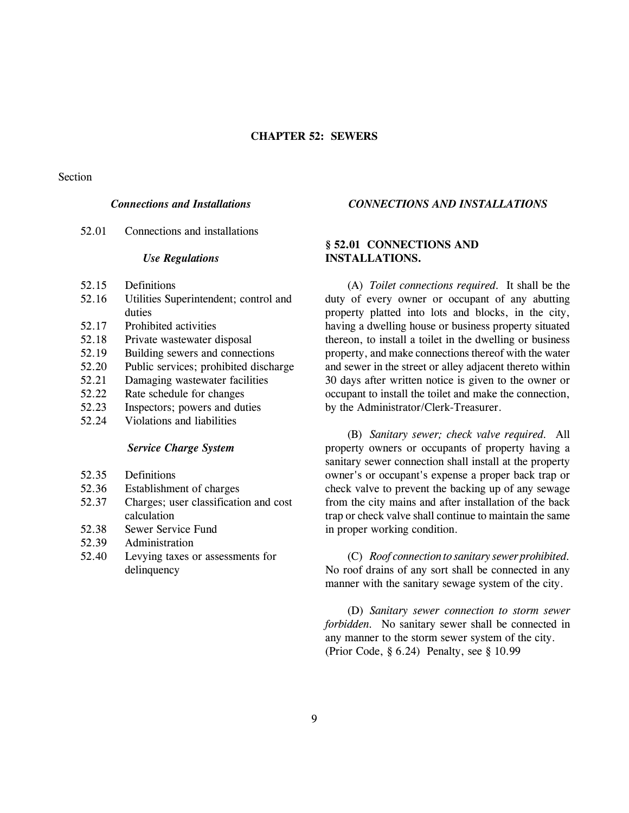#### Section

# *Connections and Installations*

52.01 Connections and installations

#### *Use Regulations*

- 52.15 Definitions
- 52.16 Utilities Superintendent; control and duties
- 52.17 Prohibited activities
- 52.18 Private wastewater disposal
- 52.19 Building sewers and connections
- 52.20 Public services; prohibited discharge
- 52.21 Damaging wastewater facilities
- 52.22 Rate schedule for changes
- 52.23 Inspectors; powers and duties
- 52.24 Violations and liabilities

#### *Service Charge System*

- 52.35 Definitions
- 52.36 Establishment of charges
- 52.37 Charges; user classification and cost calculation
- 52.38 Sewer Service Fund
- 52.39 Administration
- 52.40 Levying taxes or assessments for delinquency

# *CONNECTIONS AND INSTALLATIONS*

# **§ 52.01 CONNECTIONS AND INSTALLATIONS.**

(A) *Toilet connections required.* It shall be the duty of every owner or occupant of any abutting property platted into lots and blocks, in the city, having a dwelling house or business property situated thereon, to install a toilet in the dwelling or business property, and make connections thereof with the water and sewer in the street or alley adjacent thereto within 30 days after written notice is given to the owner or occupant to install the toilet and make the connection, by the Administrator/Clerk-Treasurer.

(B) *Sanitary sewer; check valve required.* All property owners or occupants of property having a sanitary sewer connection shall install at the property owner's or occupant's expense a proper back trap or check valve to prevent the backing up of any sewage from the city mains and after installation of the back trap or check valve shall continue to maintain the same in proper working condition.

(C) *Roof connection to sanitary sewer prohibited.* No roof drains of any sort shall be connected in any manner with the sanitary sewage system of the city.

(D) *Sanitary sewer connection to storm sewer forbidden.* No sanitary sewer shall be connected in any manner to the storm sewer system of the city. (Prior Code, § 6.24) Penalty, see § 10.99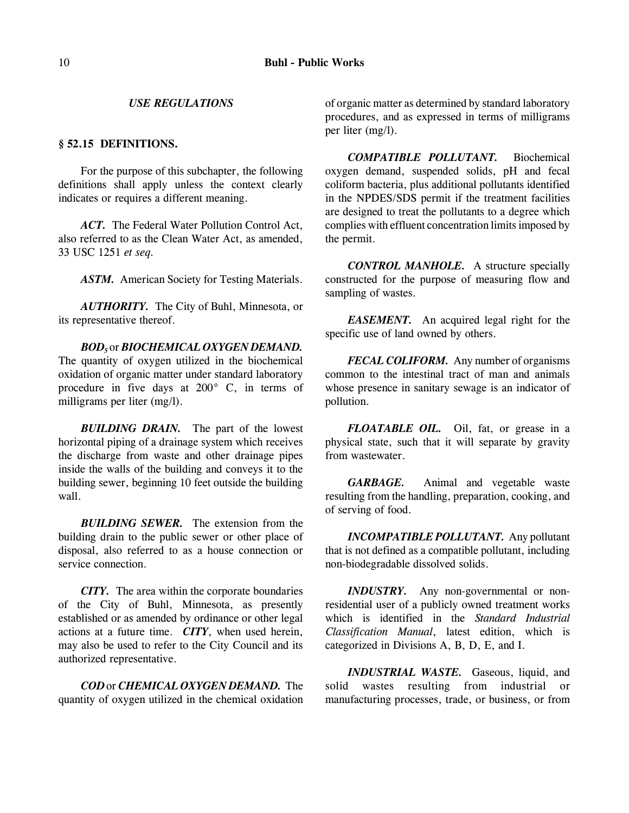#### *USE REGULATIONS*

#### **§ 52.15 DEFINITIONS.**

For the purpose of this subchapter, the following definitions shall apply unless the context clearly indicates or requires a different meaning.

*ACT.* The Federal Water Pollution Control Act, also referred to as the Clean Water Act, as amended, 33 USC 1251 *et seq.*

*ASTM.* American Society for Testing Materials.

*AUTHORITY.* The City of Buhl, Minnesota, or its representative thereof.

*BOD5* or *BIOCHEMICAL OXYGEN DEMAND.* The quantity of oxygen utilized in the biochemical oxidation of organic matter under standard laboratory procedure in five days at 200° C, in terms of milligrams per liter (mg/l).

*BUILDING DRAIN.* The part of the lowest horizontal piping of a drainage system which receives the discharge from waste and other drainage pipes inside the walls of the building and conveys it to the building sewer, beginning 10 feet outside the building wall.

*BUILDING SEWER.* The extension from the building drain to the public sewer or other place of disposal, also referred to as a house connection or service connection.

*CITY.* The area within the corporate boundaries of the City of Buhl, Minnesota, as presently established or as amended by ordinance or other legal actions at a future time. *CITY*, when used herein, may also be used to refer to the City Council and its authorized representative.

*COD* or *CHEMICAL OXYGEN DEMAND.* The quantity of oxygen utilized in the chemical oxidation of organic matter as determined by standard laboratory procedures, and as expressed in terms of milligrams per liter (mg/l).

*COMPATIBLE POLLUTANT.* Biochemical oxygen demand, suspended solids, pH and fecal coliform bacteria, plus additional pollutants identified in the NPDES/SDS permit if the treatment facilities are designed to treat the pollutants to a degree which complies with effluent concentration limits imposed by the permit.

*CONTROL MANHOLE.* A structure specially constructed for the purpose of measuring flow and sampling of wastes.

*EASEMENT.* An acquired legal right for the specific use of land owned by others.

*FECAL COLIFORM.* Any number of organisms common to the intestinal tract of man and animals whose presence in sanitary sewage is an indicator of pollution.

*FLOATABLE OIL.* Oil, fat, or grease in a physical state, such that it will separate by gravity from wastewater.

*GARBAGE.* Animal and vegetable waste resulting from the handling, preparation, cooking, and of serving of food.

*INCOMPATIBLE POLLUTANT.* Any pollutant that is not defined as a compatible pollutant, including non-biodegradable dissolved solids.

*INDUSTRY.* Any non-governmental or nonresidential user of a publicly owned treatment works which is identified in the *Standard Industrial Classification Manual*, latest edition, which is categorized in Divisions A, B, D, E, and I.

*INDUSTRIAL WASTE.* Gaseous, liquid, and solid wastes resulting from industrial or manufacturing processes, trade, or business, or from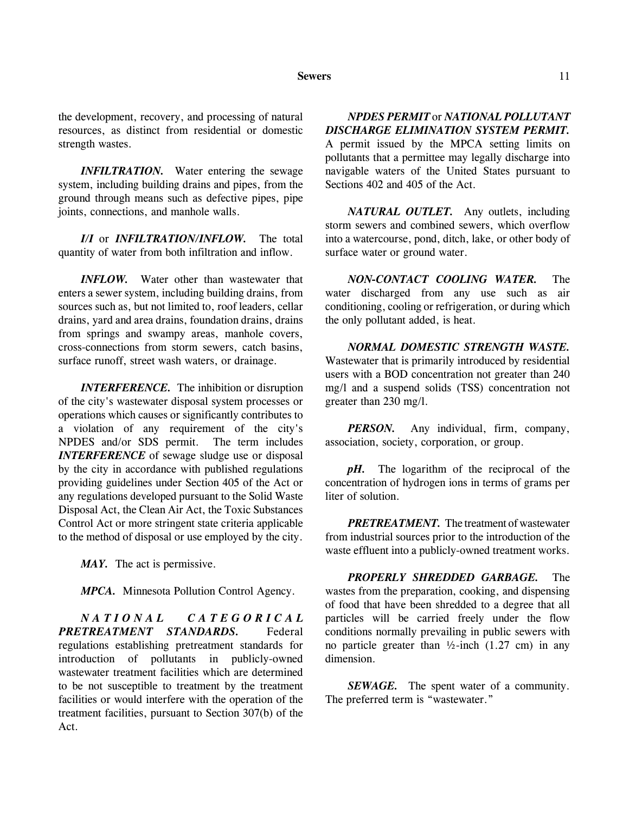#### **Sewers** 11

the development, recovery, and processing of natural resources, as distinct from residential or domestic strength wastes.

*INFILTRATION.* Water entering the sewage system, including building drains and pipes, from the ground through means such as defective pipes, pipe joints, connections, and manhole walls.

*I/I* or *INFILTRATION/INFLOW.* The total quantity of water from both infiltration and inflow.

*INFLOW.* Water other than wastewater that enters a sewer system, including building drains, from sources such as, but not limited to, roof leaders, cellar drains, yard and area drains, foundation drains, drains from springs and swampy areas, manhole covers, cross-connections from storm sewers, catch basins, surface runoff, street wash waters, or drainage.

*INTERFERENCE.* The inhibition or disruption of the city's wastewater disposal system processes or operations which causes or significantly contributes to a violation of any requirement of the city's NPDES and/or SDS permit. The term includes *INTERFERENCE* of sewage sludge use or disposal by the city in accordance with published regulations providing guidelines under Section 405 of the Act or any regulations developed pursuant to the Solid Waste Disposal Act, the Clean Air Act, the Toxic Substances Control Act or more stringent state criteria applicable to the method of disposal or use employed by the city.

*MAY.* The act is permissive.

*MPCA.* Minnesota Pollution Control Agency.

*NATIONAL CATEGORICAL PRETREATMENT STANDARDS.* Federal regulations establishing pretreatment standards for introduction of pollutants in publicly-owned wastewater treatment facilities which are determined to be not susceptible to treatment by the treatment facilities or would interfere with the operation of the treatment facilities, pursuant to Section 307(b) of the Act.

# *NPDES PERMIT* or *NATIONAL POLLUTANT DISCHARGE ELIMINATION SYSTEM PERMIT.*

A permit issued by the MPCA setting limits on pollutants that a permittee may legally discharge into navigable waters of the United States pursuant to Sections 402 and 405 of the Act.

*NATURAL OUTLET.* Any outlets, including storm sewers and combined sewers, which overflow into a watercourse, pond, ditch, lake, or other body of surface water or ground water.

*NON-CONTACT COOLING WATER.* The water discharged from any use such as air conditioning, cooling or refrigeration, or during which the only pollutant added, is heat.

*NORMAL DOMESTIC STRENGTH WASTE.* Wastewater that is primarily introduced by residential users with a BOD concentration not greater than 240 mg/l and a suspend solids (TSS) concentration not greater than 230 mg/l.

*PERSON.* Any individual, firm, company, association, society, corporation, or group.

*pH.* The logarithm of the reciprocal of the concentration of hydrogen ions in terms of grams per liter of solution.

*PRETREATMENT.* The treatment of wastewater from industrial sources prior to the introduction of the waste effluent into a publicly-owned treatment works.

*PROPERLY SHREDDED GARBAGE.* The wastes from the preparation, cooking, and dispensing of food that have been shredded to a degree that all particles will be carried freely under the flow conditions normally prevailing in public sewers with no particle greater than  $\frac{1}{2}$ -inch (1.27 cm) in any dimension.

*SEWAGE.* The spent water of a community. The preferred term is "wastewater."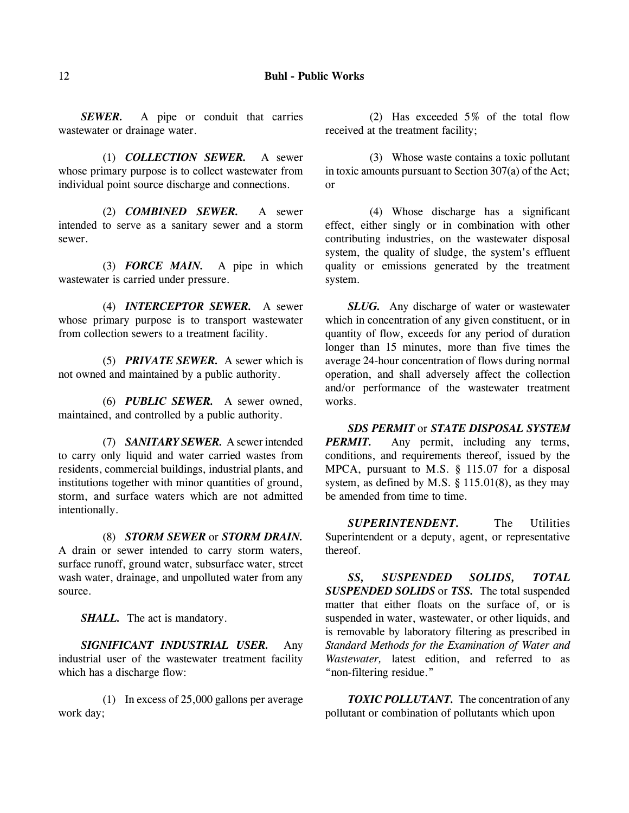*SEWER.* A pipe or conduit that carries wastewater or drainage water.

(1) *COLLECTION SEWER.* A sewer whose primary purpose is to collect wastewater from individual point source discharge and connections.

(2) *COMBINED SEWER.* A sewer intended to serve as a sanitary sewer and a storm sewer.

(3) *FORCE MAIN.* A pipe in which wastewater is carried under pressure.

(4) *INTERCEPTOR SEWER.* A sewer whose primary purpose is to transport wastewater from collection sewers to a treatment facility.

(5) *PRIVATE SEWER.* A sewer which is not owned and maintained by a public authority.

(6) *PUBLIC SEWER.* A sewer owned, maintained, and controlled by a public authority.

(7) *SANITARY SEWER.* A sewer intended to carry only liquid and water carried wastes from residents, commercial buildings, industrial plants, and institutions together with minor quantities of ground, storm, and surface waters which are not admitted intentionally.

(8) *STORM SEWER* or *STORM DRAIN.* A drain or sewer intended to carry storm waters, surface runoff, ground water, subsurface water, street wash water, drainage, and unpolluted water from any source.

*SHALL.* The act is mandatory.

*SIGNIFICANT INDUSTRIAL USER.* Any industrial user of the wastewater treatment facility which has a discharge flow:

(1) In excess of 25,000 gallons per average work day;

(2) Has exceeded 5% of the total flow received at the treatment facility;

(3) Whose waste contains a toxic pollutant in toxic amounts pursuant to Section 307(a) of the Act; or

(4) Whose discharge has a significant effect, either singly or in combination with other contributing industries, on the wastewater disposal system, the quality of sludge, the system's effluent quality or emissions generated by the treatment system.

*SLUG.* Any discharge of water or wastewater which in concentration of any given constituent, or in quantity of flow, exceeds for any period of duration longer than 15 minutes, more than five times the average 24-hour concentration of flows during normal operation, and shall adversely affect the collection and/or performance of the wastewater treatment works.

*SDS PERMIT* or *STATE DISPOSAL SYSTEM PERMIT.* Any permit, including any terms, conditions, and requirements thereof, issued by the MPCA, pursuant to M.S. § 115.07 for a disposal system, as defined by M.S. § 115.01(8), as they may be amended from time to time.

*SUPERINTENDENT.* The Utilities Superintendent or a deputy, agent, or representative thereof.

*SS, SUSPENDED SOLIDS, TOTAL SUSPENDED SOLIDS* or *TSS.* The total suspended matter that either floats on the surface of, or is suspended in water, wastewater, or other liquids, and is removable by laboratory filtering as prescribed in *Standard Methods for the Examination of Water and Wastewater,* latest edition, and referred to as "non-filtering residue."

**TOXIC POLLUTANT.** The concentration of any pollutant or combination of pollutants which upon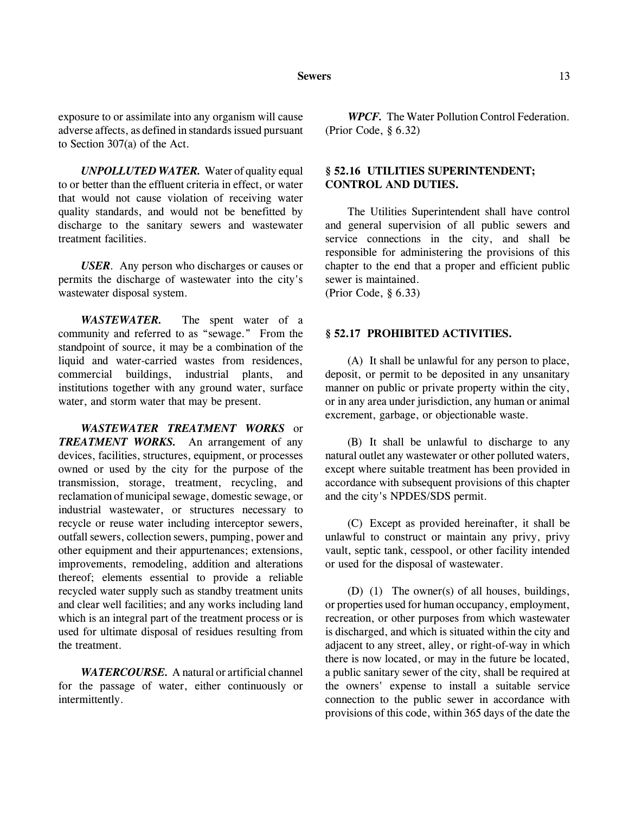exposure to or assimilate into any organism will cause adverse affects, as defined in standards issued pursuant to Section 307(a) of the Act.

*UNPOLLUTED WATER.* Water of quality equal to or better than the effluent criteria in effect, or water that would not cause violation of receiving water quality standards, and would not be benefitted by discharge to the sanitary sewers and wastewater treatment facilities.

*USER*. Any person who discharges or causes or permits the discharge of wastewater into the city's wastewater disposal system.

*WASTEWATER.* The spent water of a community and referred to as "sewage." From the standpoint of source, it may be a combination of the liquid and water-carried wastes from residences, commercial buildings, industrial plants, and institutions together with any ground water, surface water, and storm water that may be present.

*WASTEWATER TREATMENT WORKS* or *TREATMENT WORKS.* An arrangement of any devices, facilities, structures, equipment, or processes owned or used by the city for the purpose of the transmission, storage, treatment, recycling, and reclamation of municipal sewage, domestic sewage, or industrial wastewater, or structures necessary to recycle or reuse water including interceptor sewers, outfall sewers, collection sewers, pumping, power and other equipment and their appurtenances; extensions, improvements, remodeling, addition and alterations thereof; elements essential to provide a reliable recycled water supply such as standby treatment units and clear well facilities; and any works including land which is an integral part of the treatment process or is used for ultimate disposal of residues resulting from the treatment.

*WATERCOURSE.* A natural or artificial channel for the passage of water, either continuously or intermittently.

*WPCF.* The Water Pollution Control Federation. (Prior Code, § 6.32)

# **§ 52.16 UTILITIES SUPERINTENDENT; CONTROL AND DUTIES.**

The Utilities Superintendent shall have control and general supervision of all public sewers and service connections in the city, and shall be responsible for administering the provisions of this chapter to the end that a proper and efficient public sewer is maintained.

(Prior Code, § 6.33)

#### **§ 52.17 PROHIBITED ACTIVITIES.**

(A) It shall be unlawful for any person to place, deposit, or permit to be deposited in any unsanitary manner on public or private property within the city, or in any area under jurisdiction, any human or animal excrement, garbage, or objectionable waste.

(B) It shall be unlawful to discharge to any natural outlet any wastewater or other polluted waters, except where suitable treatment has been provided in accordance with subsequent provisions of this chapter and the city's NPDES/SDS permit.

(C) Except as provided hereinafter, it shall be unlawful to construct or maintain any privy, privy vault, septic tank, cesspool, or other facility intended or used for the disposal of wastewater.

(D) (1) The owner(s) of all houses, buildings, or properties used for human occupancy, employment, recreation, or other purposes from which wastewater is discharged, and which is situated within the city and adjacent to any street, alley, or right-of-way in which there is now located, or may in the future be located, a public sanitary sewer of the city, shall be required at the owners' expense to install a suitable service connection to the public sewer in accordance with provisions of this code, within 365 days of the date the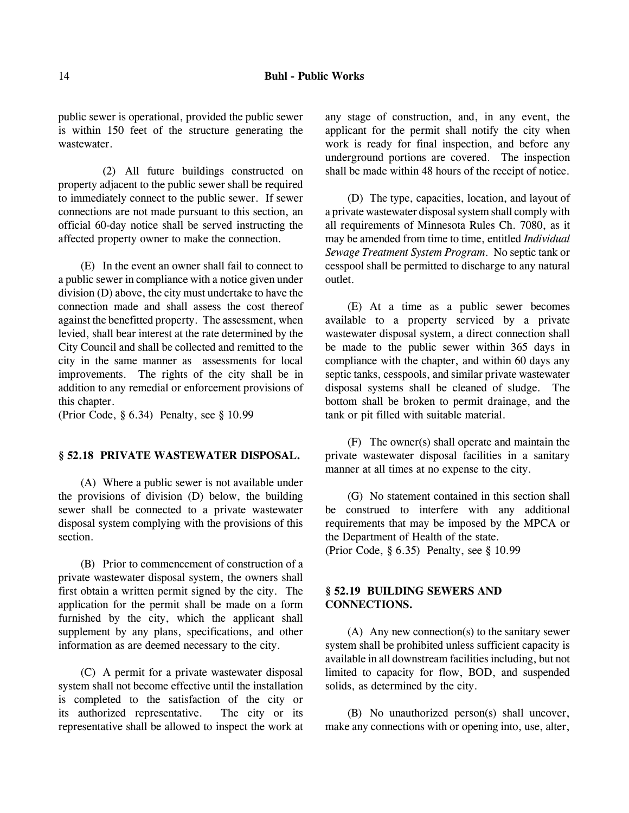public sewer is operational, provided the public sewer is within 150 feet of the structure generating the wastewater.

(2) All future buildings constructed on property adjacent to the public sewer shall be required to immediately connect to the public sewer. If sewer connections are not made pursuant to this section, an official 60-day notice shall be served instructing the affected property owner to make the connection.

(E) In the event an owner shall fail to connect to a public sewer in compliance with a notice given under division (D) above, the city must undertake to have the connection made and shall assess the cost thereof against the benefitted property. The assessment, when levied, shall bear interest at the rate determined by the City Council and shall be collected and remitted to the city in the same manner as assessments for local improvements. The rights of the city shall be in addition to any remedial or enforcement provisions of this chapter.

(Prior Code, § 6.34) Penalty, see § 10.99

#### **§ 52.18 PRIVATE WASTEWATER DISPOSAL.**

(A) Where a public sewer is not available under the provisions of division (D) below, the building sewer shall be connected to a private wastewater disposal system complying with the provisions of this section.

(B) Prior to commencement of construction of a private wastewater disposal system, the owners shall first obtain a written permit signed by the city. The application for the permit shall be made on a form furnished by the city, which the applicant shall supplement by any plans, specifications, and other information as are deemed necessary to the city.

(C) A permit for a private wastewater disposal system shall not become effective until the installation is completed to the satisfaction of the city or its authorized representative. The city or its representative shall be allowed to inspect the work at any stage of construction, and, in any event, the applicant for the permit shall notify the city when work is ready for final inspection, and before any underground portions are covered. The inspection shall be made within 48 hours of the receipt of notice.

(D) The type, capacities, location, and layout of a private wastewater disposal system shall comply with all requirements of Minnesota Rules Ch. 7080, as it may be amended from time to time, entitled *Individual Sewage Treatment System Program*. No septic tank or cesspool shall be permitted to discharge to any natural outlet.

(E) At a time as a public sewer becomes available to a property serviced by a private wastewater disposal system, a direct connection shall be made to the public sewer within 365 days in compliance with the chapter, and within 60 days any septic tanks, cesspools, and similar private wastewater disposal systems shall be cleaned of sludge. The bottom shall be broken to permit drainage, and the tank or pit filled with suitable material.

(F) The owner(s) shall operate and maintain the private wastewater disposal facilities in a sanitary manner at all times at no expense to the city.

(G) No statement contained in this section shall be construed to interfere with any additional requirements that may be imposed by the MPCA or the Department of Health of the state. (Prior Code, § 6.35) Penalty, see § 10.99

# **§ 52.19 BUILDING SEWERS AND CONNECTIONS.**

(A) Any new connection(s) to the sanitary sewer system shall be prohibited unless sufficient capacity is available in all downstream facilities including, but not limited to capacity for flow, BOD, and suspended solids, as determined by the city.

(B) No unauthorized person(s) shall uncover, make any connections with or opening into, use, alter,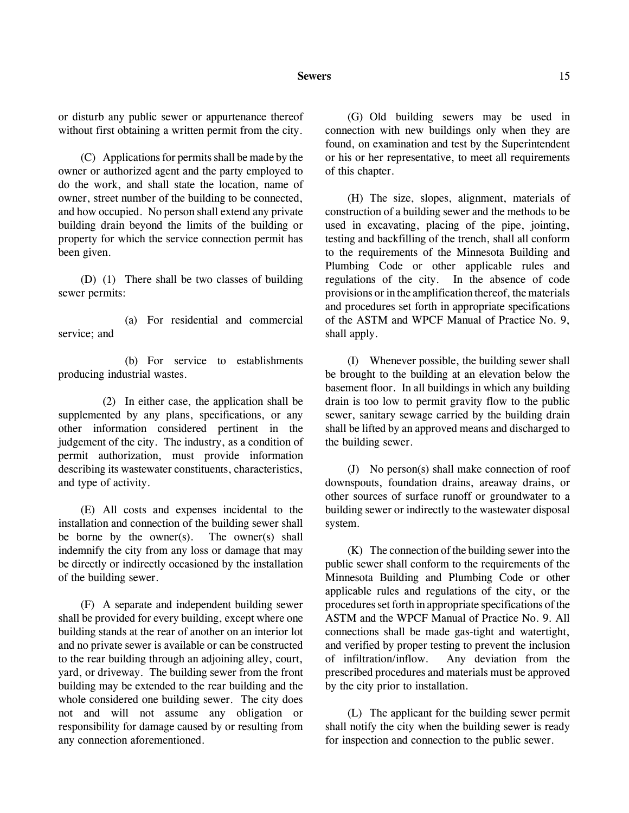#### **Sewers** 15

or disturb any public sewer or appurtenance thereof without first obtaining a written permit from the city.

(C) Applications for permits shall be made by the owner or authorized agent and the party employed to do the work, and shall state the location, name of owner, street number of the building to be connected, and how occupied. No person shall extend any private building drain beyond the limits of the building or property for which the service connection permit has been given.

(D) (1) There shall be two classes of building sewer permits:

(a) For residential and commercial service; and

(b) For service to establishments producing industrial wastes.

(2) In either case, the application shall be supplemented by any plans, specifications, or any other information considered pertinent in the judgement of the city. The industry, as a condition of permit authorization, must provide information describing its wastewater constituents, characteristics, and type of activity.

(E) All costs and expenses incidental to the installation and connection of the building sewer shall be borne by the owner(s). The owner(s) shall indemnify the city from any loss or damage that may be directly or indirectly occasioned by the installation of the building sewer.

(F) A separate and independent building sewer shall be provided for every building, except where one building stands at the rear of another on an interior lot and no private sewer is available or can be constructed to the rear building through an adjoining alley, court, yard, or driveway. The building sewer from the front building may be extended to the rear building and the whole considered one building sewer. The city does not and will not assume any obligation or responsibility for damage caused by or resulting from any connection aforementioned.

(G) Old building sewers may be used in connection with new buildings only when they are found, on examination and test by the Superintendent or his or her representative, to meet all requirements of this chapter.

(H) The size, slopes, alignment, materials of construction of a building sewer and the methods to be used in excavating, placing of the pipe, jointing, testing and backfilling of the trench, shall all conform to the requirements of the Minnesota Building and Plumbing Code or other applicable rules and regulations of the city. In the absence of code provisions or in the amplification thereof, the materials and procedures set forth in appropriate specifications of the ASTM and WPCF Manual of Practice No. 9, shall apply.

(I) Whenever possible, the building sewer shall be brought to the building at an elevation below the basement floor. In all buildings in which any building drain is too low to permit gravity flow to the public sewer, sanitary sewage carried by the building drain shall be lifted by an approved means and discharged to the building sewer.

(J) No person(s) shall make connection of roof downspouts, foundation drains, areaway drains, or other sources of surface runoff or groundwater to a building sewer or indirectly to the wastewater disposal system.

(K) The connection of the building sewer into the public sewer shall conform to the requirements of the Minnesota Building and Plumbing Code or other applicable rules and regulations of the city, or the procedures set forth in appropriate specifications of the ASTM and the WPCF Manual of Practice No. 9. All connections shall be made gas-tight and watertight, and verified by proper testing to prevent the inclusion of infiltration/inflow. Any deviation from the prescribed procedures and materials must be approved by the city prior to installation.

(L) The applicant for the building sewer permit shall notify the city when the building sewer is ready for inspection and connection to the public sewer.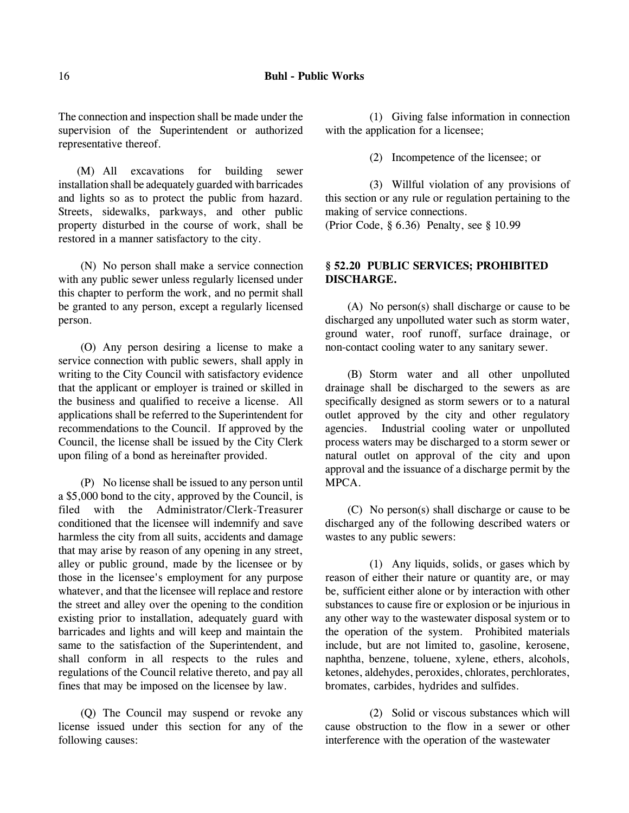The connection and inspection shall be made under the supervision of the Superintendent or authorized representative thereof.

(M) All excavations for building sewer installation shall be adequately guarded with barricades and lights so as to protect the public from hazard. Streets, sidewalks, parkways, and other public property disturbed in the course of work, shall be restored in a manner satisfactory to the city.

(N) No person shall make a service connection with any public sewer unless regularly licensed under this chapter to perform the work, and no permit shall be granted to any person, except a regularly licensed person.

(O) Any person desiring a license to make a service connection with public sewers, shall apply in writing to the City Council with satisfactory evidence that the applicant or employer is trained or skilled in the business and qualified to receive a license. All applications shall be referred to the Superintendent for recommendations to the Council. If approved by the Council, the license shall be issued by the City Clerk upon filing of a bond as hereinafter provided.

(P) No license shall be issued to any person until a \$5,000 bond to the city, approved by the Council, is filed with the Administrator/Clerk-Treasurer conditioned that the licensee will indemnify and save harmless the city from all suits, accidents and damage that may arise by reason of any opening in any street, alley or public ground, made by the licensee or by those in the licensee's employment for any purpose whatever, and that the licensee will replace and restore the street and alley over the opening to the condition existing prior to installation, adequately guard with barricades and lights and will keep and maintain the same to the satisfaction of the Superintendent, and shall conform in all respects to the rules and regulations of the Council relative thereto, and pay all fines that may be imposed on the licensee by law.

(Q) The Council may suspend or revoke any license issued under this section for any of the following causes:

(1) Giving false information in connection with the application for a licensee;

(2) Incompetence of the licensee; or

(3) Willful violation of any provisions of this section or any rule or regulation pertaining to the making of service connections.

(Prior Code, § 6.36) Penalty, see § 10.99

# **§ 52.20 PUBLIC SERVICES; PROHIBITED DISCHARGE.**

(A) No person(s) shall discharge or cause to be discharged any unpolluted water such as storm water, ground water, roof runoff, surface drainage, or non-contact cooling water to any sanitary sewer.

(B) Storm water and all other unpolluted drainage shall be discharged to the sewers as are specifically designed as storm sewers or to a natural outlet approved by the city and other regulatory agencies. Industrial cooling water or unpolluted process waters may be discharged to a storm sewer or natural outlet on approval of the city and upon approval and the issuance of a discharge permit by the MPCA.

(C) No person(s) shall discharge or cause to be discharged any of the following described waters or wastes to any public sewers:

(1) Any liquids, solids, or gases which by reason of either their nature or quantity are, or may be, sufficient either alone or by interaction with other substances to cause fire or explosion or be injurious in any other way to the wastewater disposal system or to the operation of the system. Prohibited materials include, but are not limited to, gasoline, kerosene, naphtha, benzene, toluene, xylene, ethers, alcohols, ketones, aldehydes, peroxides, chlorates, perchlorates, bromates, carbides, hydrides and sulfides.

(2) Solid or viscous substances which will cause obstruction to the flow in a sewer or other interference with the operation of the wastewater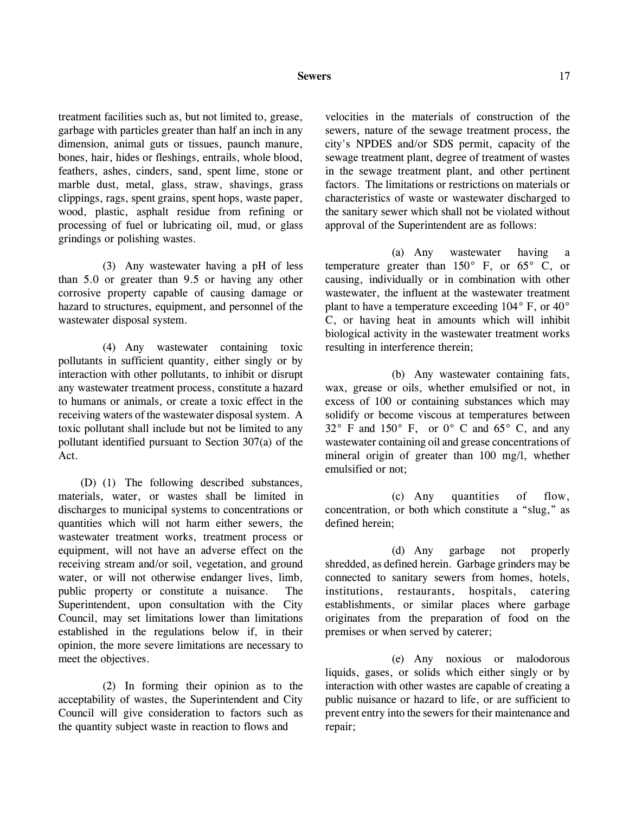#### **Sewers** 17

treatment facilities such as, but not limited to, grease, garbage with particles greater than half an inch in any dimension, animal guts or tissues, paunch manure, bones, hair, hides or fleshings, entrails, whole blood, feathers, ashes, cinders, sand, spent lime, stone or marble dust, metal, glass, straw, shavings, grass clippings, rags, spent grains, spent hops, waste paper, wood, plastic, asphalt residue from refining or processing of fuel or lubricating oil, mud, or glass grindings or polishing wastes.

(3) Any wastewater having a pH of less than 5.0 or greater than 9.5 or having any other corrosive property capable of causing damage or hazard to structures, equipment, and personnel of the wastewater disposal system.

(4) Any wastewater containing toxic pollutants in sufficient quantity, either singly or by interaction with other pollutants, to inhibit or disrupt any wastewater treatment process, constitute a hazard to humans or animals, or create a toxic effect in the receiving waters of the wastewater disposal system. A toxic pollutant shall include but not be limited to any pollutant identified pursuant to Section 307(a) of the Act.

(D) (1) The following described substances, materials, water, or wastes shall be limited in discharges to municipal systems to concentrations or quantities which will not harm either sewers, the wastewater treatment works, treatment process or equipment, will not have an adverse effect on the receiving stream and/or soil, vegetation, and ground water, or will not otherwise endanger lives, limb, public property or constitute a nuisance. The Superintendent, upon consultation with the City Council, may set limitations lower than limitations established in the regulations below if, in their opinion, the more severe limitations are necessary to meet the objectives.

(2) In forming their opinion as to the acceptability of wastes, the Superintendent and City Council will give consideration to factors such as the quantity subject waste in reaction to flows and

velocities in the materials of construction of the sewers, nature of the sewage treatment process, the city's NPDES and/or SDS permit, capacity of the sewage treatment plant, degree of treatment of wastes in the sewage treatment plant, and other pertinent factors. The limitations or restrictions on materials or characteristics of waste or wastewater discharged to the sanitary sewer which shall not be violated without approval of the Superintendent are as follows:

(a) Any wastewater having a temperature greater than 150° F, or 65° C, or causing, individually or in combination with other wastewater, the influent at the wastewater treatment plant to have a temperature exceeding 104° F, or 40° C, or having heat in amounts which will inhibit biological activity in the wastewater treatment works resulting in interference therein;

(b) Any wastewater containing fats, wax, grease or oils, whether emulsified or not, in excess of 100 or containing substances which may solidify or become viscous at temperatures between  $32^\circ$  F and  $150^\circ$  F, or  $0^\circ$  C and  $65^\circ$  C, and any wastewater containing oil and grease concentrations of mineral origin of greater than 100 mg/l, whether emulsified or not;

(c) Any quantities of flow, concentration, or both which constitute a "slug," as defined herein;

(d) Any garbage not properly shredded, as defined herein. Garbage grinders may be connected to sanitary sewers from homes, hotels, institutions, restaurants, hospitals, catering establishments, or similar places where garbage originates from the preparation of food on the premises or when served by caterer;

(e) Any noxious or malodorous liquids, gases, or solids which either singly or by interaction with other wastes are capable of creating a public nuisance or hazard to life, or are sufficient to prevent entry into the sewers for their maintenance and repair;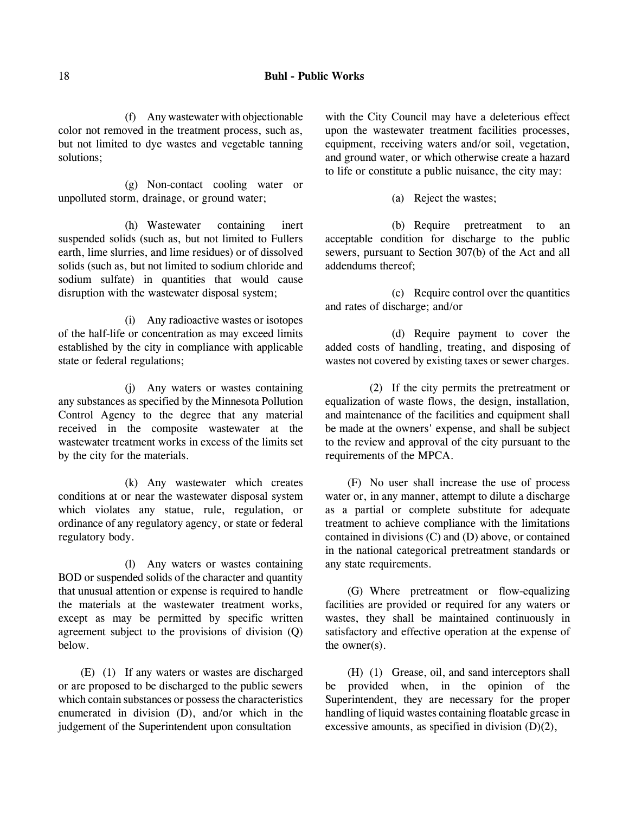#### 18 **Buhl - Public Works**

(f) Any wastewater with objectionable color not removed in the treatment process, such as, but not limited to dye wastes and vegetable tanning solutions;

(g) Non-contact cooling water or unpolluted storm, drainage, or ground water;

(h) Wastewater containing inert suspended solids (such as, but not limited to Fullers earth, lime slurries, and lime residues) or of dissolved solids (such as, but not limited to sodium chloride and sodium sulfate) in quantities that would cause disruption with the wastewater disposal system;

(i) Any radioactive wastes or isotopes of the half-life or concentration as may exceed limits established by the city in compliance with applicable state or federal regulations;

(j) Any waters or wastes containing any substances as specified by the Minnesota Pollution Control Agency to the degree that any material received in the composite wastewater at the wastewater treatment works in excess of the limits set by the city for the materials.

(k) Any wastewater which creates conditions at or near the wastewater disposal system which violates any statue, rule, regulation, or ordinance of any regulatory agency, or state or federal regulatory body.

(l) Any waters or wastes containing BOD or suspended solids of the character and quantity that unusual attention or expense is required to handle the materials at the wastewater treatment works, except as may be permitted by specific written agreement subject to the provisions of division (Q) below.

(E) (1) If any waters or wastes are discharged or are proposed to be discharged to the public sewers which contain substances or possess the characteristics enumerated in division (D), and/or which in the judgement of the Superintendent upon consultation

with the City Council may have a deleterious effect upon the wastewater treatment facilities processes, equipment, receiving waters and/or soil, vegetation, and ground water, or which otherwise create a hazard to life or constitute a public nuisance, the city may:

(a) Reject the wastes;

(b) Require pretreatment to an acceptable condition for discharge to the public sewers, pursuant to Section 307(b) of the Act and all addendums thereof;

(c) Require control over the quantities and rates of discharge; and/or

(d) Require payment to cover the added costs of handling, treating, and disposing of wastes not covered by existing taxes or sewer charges.

(2) If the city permits the pretreatment or equalization of waste flows, the design, installation, and maintenance of the facilities and equipment shall be made at the owners' expense, and shall be subject to the review and approval of the city pursuant to the requirements of the MPCA.

(F) No user shall increase the use of process water or, in any manner, attempt to dilute a discharge as a partial or complete substitute for adequate treatment to achieve compliance with the limitations contained in divisions (C) and (D) above, or contained in the national categorical pretreatment standards or any state requirements.

(G) Where pretreatment or flow-equalizing facilities are provided or required for any waters or wastes, they shall be maintained continuously in satisfactory and effective operation at the expense of the owner(s).

(H) (1) Grease, oil, and sand interceptors shall be provided when, in the opinion of the Superintendent, they are necessary for the proper handling of liquid wastes containing floatable grease in excessive amounts, as specified in division (D)(2),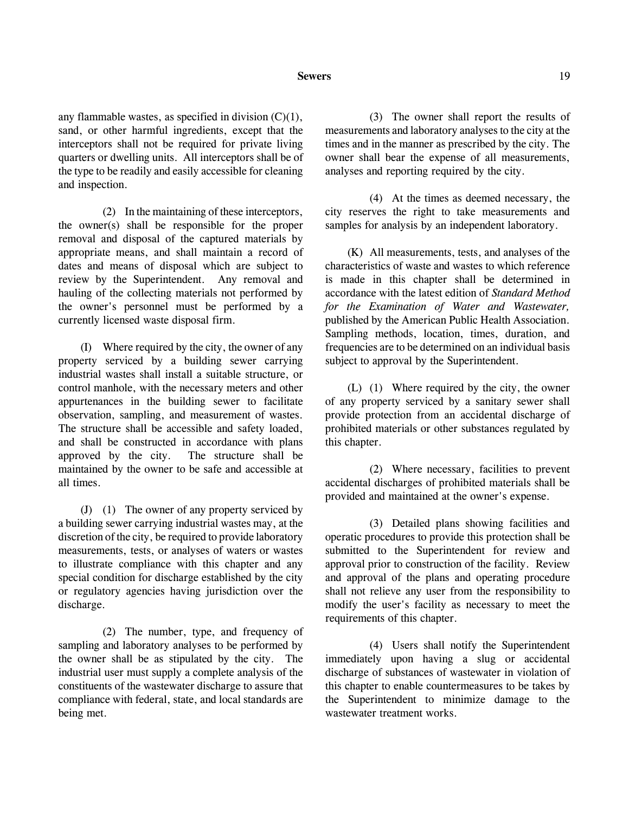#### **Sewers** 19

any flammable wastes, as specified in division (C)(1), sand, or other harmful ingredients, except that the interceptors shall not be required for private living quarters or dwelling units. All interceptors shall be of the type to be readily and easily accessible for cleaning and inspection.

(2) In the maintaining of these interceptors, the owner(s) shall be responsible for the proper removal and disposal of the captured materials by appropriate means, and shall maintain a record of dates and means of disposal which are subject to review by the Superintendent. Any removal and hauling of the collecting materials not performed by the owner's personnel must be performed by a currently licensed waste disposal firm.

(I) Where required by the city, the owner of any property serviced by a building sewer carrying industrial wastes shall install a suitable structure, or control manhole, with the necessary meters and other appurtenances in the building sewer to facilitate observation, sampling, and measurement of wastes. The structure shall be accessible and safety loaded, and shall be constructed in accordance with plans approved by the city. The structure shall be maintained by the owner to be safe and accessible at all times.

(J) (1) The owner of any property serviced by a building sewer carrying industrial wastes may, at the discretion of the city, be required to provide laboratory measurements, tests, or analyses of waters or wastes to illustrate compliance with this chapter and any special condition for discharge established by the city or regulatory agencies having jurisdiction over the discharge.

(2) The number, type, and frequency of sampling and laboratory analyses to be performed by the owner shall be as stipulated by the city. The industrial user must supply a complete analysis of the constituents of the wastewater discharge to assure that compliance with federal, state, and local standards are being met.

(3) The owner shall report the results of measurements and laboratory analyses to the city at the times and in the manner as prescribed by the city. The owner shall bear the expense of all measurements, analyses and reporting required by the city.

(4) At the times as deemed necessary, the city reserves the right to take measurements and samples for analysis by an independent laboratory.

(K) All measurements, tests, and analyses of the characteristics of waste and wastes to which reference is made in this chapter shall be determined in accordance with the latest edition of *Standard Method for the Examination of Water and Wastewater,* published by the American Public Health Association. Sampling methods, location, times, duration, and frequencies are to be determined on an individual basis subject to approval by the Superintendent.

(L) (1) Where required by the city, the owner of any property serviced by a sanitary sewer shall provide protection from an accidental discharge of prohibited materials or other substances regulated by this chapter.

(2) Where necessary, facilities to prevent accidental discharges of prohibited materials shall be provided and maintained at the owner's expense.

(3) Detailed plans showing facilities and operatic procedures to provide this protection shall be submitted to the Superintendent for review and approval prior to construction of the facility. Review and approval of the plans and operating procedure shall not relieve any user from the responsibility to modify the user's facility as necessary to meet the requirements of this chapter.

(4) Users shall notify the Superintendent immediately upon having a slug or accidental discharge of substances of wastewater in violation of this chapter to enable countermeasures to be takes by the Superintendent to minimize damage to the wastewater treatment works.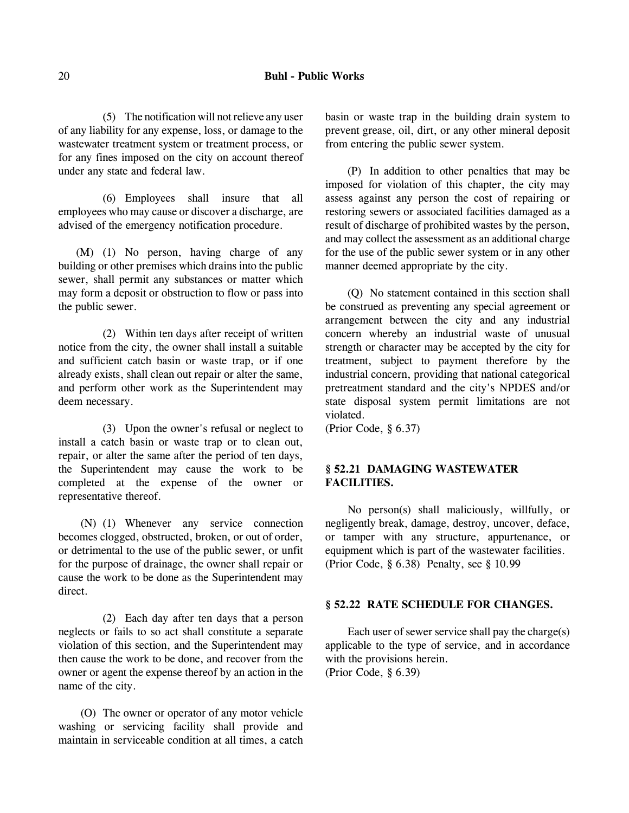#### 20 **Buhl - Public Works**

(5) The notification will not relieve any user of any liability for any expense, loss, or damage to the wastewater treatment system or treatment process, or for any fines imposed on the city on account thereof under any state and federal law.

(6) Employees shall insure that all employees who may cause or discover a discharge, are advised of the emergency notification procedure.

(M) (1) No person, having charge of any building or other premises which drains into the public sewer, shall permit any substances or matter which may form a deposit or obstruction to flow or pass into the public sewer.

(2) Within ten days after receipt of written notice from the city, the owner shall install a suitable and sufficient catch basin or waste trap, or if one already exists, shall clean out repair or alter the same, and perform other work as the Superintendent may deem necessary.

(3) Upon the owner's refusal or neglect to install a catch basin or waste trap or to clean out, repair, or alter the same after the period of ten days, the Superintendent may cause the work to be completed at the expense of the owner or representative thereof.

(N) (1) Whenever any service connection becomes clogged, obstructed, broken, or out of order, or detrimental to the use of the public sewer, or unfit for the purpose of drainage, the owner shall repair or cause the work to be done as the Superintendent may direct.

(2) Each day after ten days that a person neglects or fails to so act shall constitute a separate violation of this section, and the Superintendent may then cause the work to be done, and recover from the owner or agent the expense thereof by an action in the name of the city.

(O) The owner or operator of any motor vehicle washing or servicing facility shall provide and maintain in serviceable condition at all times, a catch basin or waste trap in the building drain system to prevent grease, oil, dirt, or any other mineral deposit from entering the public sewer system.

(P) In addition to other penalties that may be imposed for violation of this chapter, the city may assess against any person the cost of repairing or restoring sewers or associated facilities damaged as a result of discharge of prohibited wastes by the person, and may collect the assessment as an additional charge for the use of the public sewer system or in any other manner deemed appropriate by the city.

(Q) No statement contained in this section shall be construed as preventing any special agreement or arrangement between the city and any industrial concern whereby an industrial waste of unusual strength or character may be accepted by the city for treatment, subject to payment therefore by the industrial concern, providing that national categorical pretreatment standard and the city's NPDES and/or state disposal system permit limitations are not violated.

(Prior Code, § 6.37)

# **§ 52.21 DAMAGING WASTEWATER FACILITIES.**

No person(s) shall maliciously, willfully, or negligently break, damage, destroy, uncover, deface, or tamper with any structure, appurtenance, or equipment which is part of the wastewater facilities. (Prior Code, § 6.38) Penalty, see § 10.99

### **§ 52.22 RATE SCHEDULE FOR CHANGES.**

Each user of sewer service shall pay the charge(s) applicable to the type of service, and in accordance with the provisions herein. (Prior Code, § 6.39)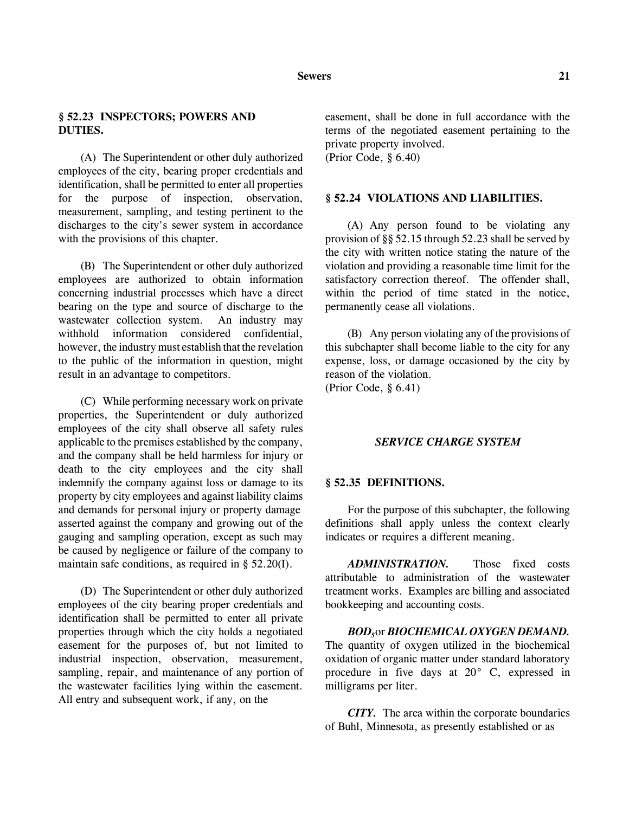# **§ 52.23 INSPECTORS; POWERS AND DUTIES.**

(A) The Superintendent or other duly authorized employees of the city, bearing proper credentials and identification, shall be permitted to enter all properties for the purpose of inspection, observation, measurement, sampling, and testing pertinent to the discharges to the city's sewer system in accordance with the provisions of this chapter.

(B) The Superintendent or other duly authorized employees are authorized to obtain information concerning industrial processes which have a direct bearing on the type and source of discharge to the wastewater collection system. An industry may withhold information considered confidential, however, the industry must establish that the revelation to the public of the information in question, might result in an advantage to competitors.

(C) While performing necessary work on private properties, the Superintendent or duly authorized employees of the city shall observe all safety rules applicable to the premises established by the company, and the company shall be held harmless for injury or death to the city employees and the city shall indemnify the company against loss or damage to its property by city employees and against liability claims and demands for personal injury or property damage asserted against the company and growing out of the gauging and sampling operation, except as such may be caused by negligence or failure of the company to maintain safe conditions, as required in § 52.20(I).

(D) The Superintendent or other duly authorized employees of the city bearing proper credentials and identification shall be permitted to enter all private properties through which the city holds a negotiated easement for the purposes of, but not limited to industrial inspection, observation, measurement, sampling, repair, and maintenance of any portion of the wastewater facilities lying within the easement. All entry and subsequent work, if any, on the

easement, shall be done in full accordance with the terms of the negotiated easement pertaining to the private property involved. (Prior Code, § 6.40)

#### **§ 52.24 VIOLATIONS AND LIABILITIES.**

(A) Any person found to be violating any provision of §§ 52.15 through 52.23 shall be served by the city with written notice stating the nature of the violation and providing a reasonable time limit for the satisfactory correction thereof. The offender shall, within the period of time stated in the notice, permanently cease all violations.

(B) Any person violating any of the provisions of this subchapter shall become liable to the city for any expense, loss, or damage occasioned by the city by reason of the violation.

(Prior Code, § 6.41)

#### *SERVICE CHARGE SYSTEM*

#### **§ 52.35 DEFINITIONS.**

For the purpose of this subchapter, the following definitions shall apply unless the context clearly indicates or requires a different meaning.

*ADMINISTRATION.* Those fixed costs attributable to administration of the wastewater treatment works. Examples are billing and associated bookkeeping and accounting costs.

*BOD5*or *BIOCHEMICAL OXYGEN DEMAND.* The quantity of oxygen utilized in the biochemical oxidation of organic matter under standard laboratory procedure in five days at 20° C, expressed in milligrams per liter.

*CITY.* The area within the corporate boundaries of Buhl, Minnesota, as presently established or as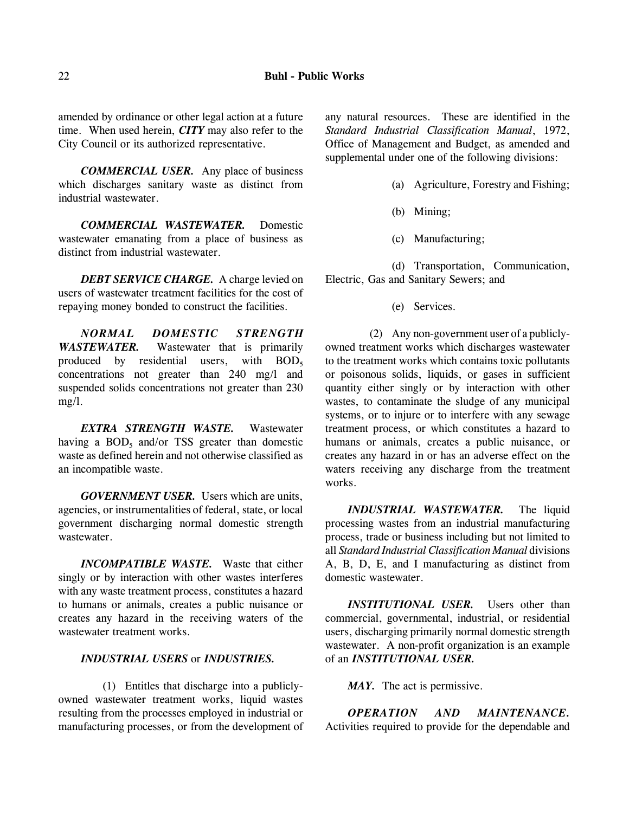amended by ordinance or other legal action at a future time. When used herein, *CITY* may also refer to the City Council or its authorized representative.

*COMMERCIAL USER.* Any place of business which discharges sanitary waste as distinct from industrial wastewater.

*COMMERCIAL WASTEWATER.* Domestic wastewater emanating from a place of business as distinct from industrial wastewater.

*DEBT SERVICE CHARGE.* A charge levied on users of wastewater treatment facilities for the cost of repaying money bonded to construct the facilities.

*NORMAL DOMESTIC STRENGTH WASTEWATER.* Wastewater that is primarily produced by residential users, with  $BOD<sub>5</sub>$ concentrations not greater than 240 mg/l and suspended solids concentrations not greater than 230 mg/l.

*EXTRA STRENGTH WASTE.* Wastewater having a  $BOD<sub>5</sub>$  and/or TSS greater than domestic waste as defined herein and not otherwise classified as an incompatible waste.

*GOVERNMENT USER.* Users which are units, agencies, or instrumentalities of federal, state, or local government discharging normal domestic strength wastewater.

*INCOMPATIBLE WASTE.* Waste that either singly or by interaction with other wastes interferes with any waste treatment process, constitutes a hazard to humans or animals, creates a public nuisance or creates any hazard in the receiving waters of the wastewater treatment works.

#### *INDUSTRIAL USERS* or *INDUSTRIES.*

(1) Entitles that discharge into a publiclyowned wastewater treatment works, liquid wastes resulting from the processes employed in industrial or manufacturing processes, or from the development of any natural resources. These are identified in the *Standard Industrial Classification Manual*, 1972, Office of Management and Budget, as amended and supplemental under one of the following divisions:

- (a) Agriculture, Forestry and Fishing;
- (b) Mining;
- (c) Manufacturing;

(d) Transportation, Communication, Electric, Gas and Sanitary Sewers; and

(e) Services.

(2) Any non-government user of a publiclyowned treatment works which discharges wastewater to the treatment works which contains toxic pollutants or poisonous solids, liquids, or gases in sufficient quantity either singly or by interaction with other wastes, to contaminate the sludge of any municipal systems, or to injure or to interfere with any sewage treatment process, or which constitutes a hazard to humans or animals, creates a public nuisance, or creates any hazard in or has an adverse effect on the waters receiving any discharge from the treatment works.

*INDUSTRIAL WASTEWATER.* The liquid processing wastes from an industrial manufacturing process, trade or business including but not limited to all *Standard Industrial Classification Manual* divisions A, B, D, E, and I manufacturing as distinct from domestic wastewater.

*INSTITUTIONAL USER.* Users other than commercial, governmental, industrial, or residential users, discharging primarily normal domestic strength wastewater. A non-profit organization is an example of an *INSTITUTIONAL USER.*

*MAY.* The act is permissive.

*OPERATION AND MAINTENANCE.* Activities required to provide for the dependable and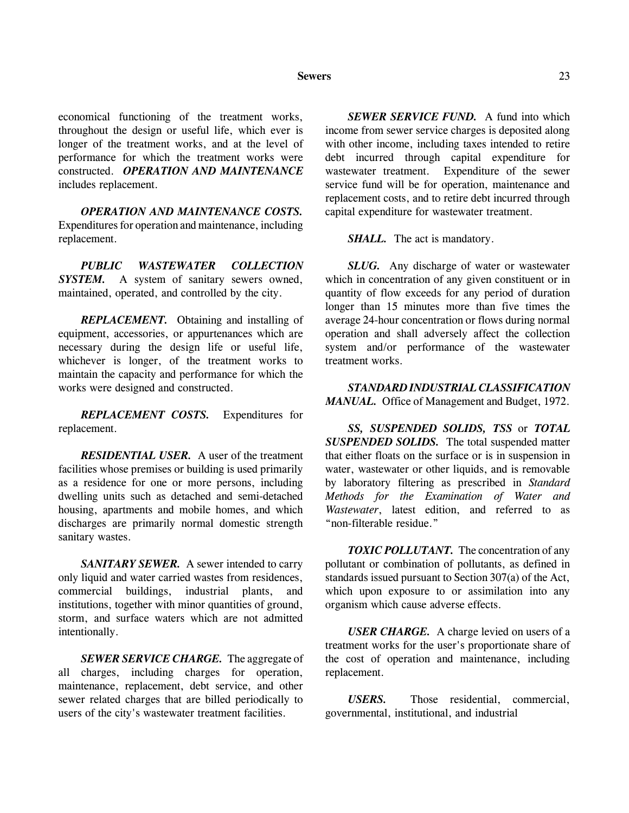#### **Sewers** 23

economical functioning of the treatment works, throughout the design or useful life, which ever is longer of the treatment works, and at the level of performance for which the treatment works were constructed. *OPERATION AND MAINTENANCE* includes replacement.

*OPERATION AND MAINTENANCE COSTS.* Expenditures for operation and maintenance, including replacement.

*PUBLIC WASTEWATER COLLECTION* **SYSTEM.** A system of sanitary sewers owned, maintained, operated, and controlled by the city.

*REPLACEMENT.* Obtaining and installing of equipment, accessories, or appurtenances which are necessary during the design life or useful life, whichever is longer, of the treatment works to maintain the capacity and performance for which the works were designed and constructed.

*REPLACEMENT COSTS.* Expenditures for replacement.

*RESIDENTIAL USER.* A user of the treatment facilities whose premises or building is used primarily as a residence for one or more persons, including dwelling units such as detached and semi-detached housing, apartments and mobile homes, and which discharges are primarily normal domestic strength sanitary wastes.

*SANITARY SEWER.* A sewer intended to carry only liquid and water carried wastes from residences, commercial buildings, industrial plants, and institutions, together with minor quantities of ground, storm, and surface waters which are not admitted intentionally.

*SEWER SERVICE CHARGE.* The aggregate of all charges, including charges for operation, maintenance, replacement, debt service, and other sewer related charges that are billed periodically to users of the city's wastewater treatment facilities.

*SEWER SERVICE FUND.* A fund into which income from sewer service charges is deposited along with other income, including taxes intended to retire debt incurred through capital expenditure for wastewater treatment. Expenditure of the sewer service fund will be for operation, maintenance and replacement costs, and to retire debt incurred through capital expenditure for wastewater treatment.

*SHALL.* The act is mandatory.

*SLUG.* Any discharge of water or wastewater which in concentration of any given constituent or in quantity of flow exceeds for any period of duration longer than 15 minutes more than five times the average 24-hour concentration or flows during normal operation and shall adversely affect the collection system and/or performance of the wastewater treatment works.

*STANDARD INDUSTRIAL CLASSIFICATION MANUAL.* Office of Management and Budget, 1972.

*SS, SUSPENDED SOLIDS, TSS* or *TOTAL SUSPENDED SOLIDS.* The total suspended matter that either floats on the surface or is in suspension in water, wastewater or other liquids, and is removable by laboratory filtering as prescribed in *Standard Methods for the Examination of Water and Wastewater*, latest edition, and referred to as "non-filterable residue."

**TOXIC POLLUTANT.** The concentration of any pollutant or combination of pollutants, as defined in standards issued pursuant to Section 307(a) of the Act, which upon exposure to or assimilation into any organism which cause adverse effects.

*USER CHARGE.* A charge levied on users of a treatment works for the user's proportionate share of the cost of operation and maintenance, including replacement.

*USERS.* Those residential, commercial, governmental, institutional, and industrial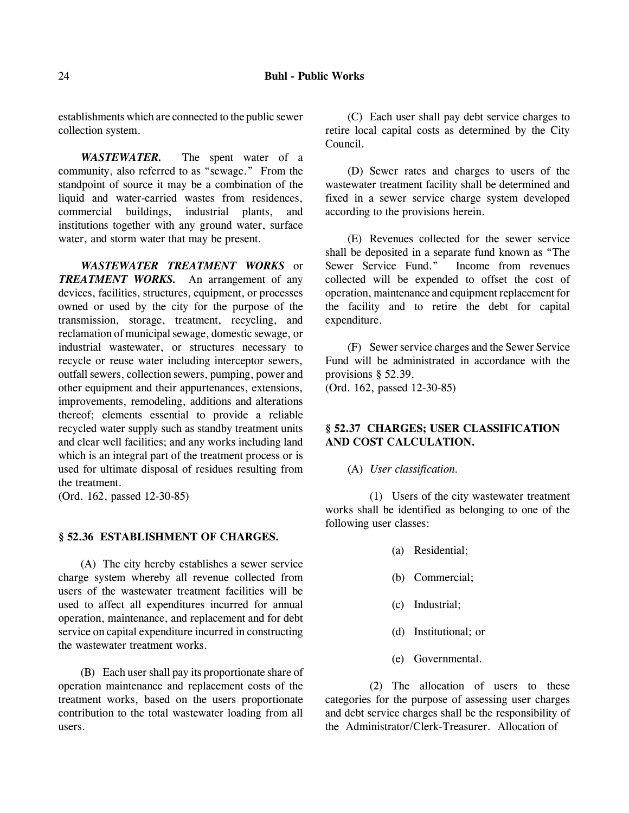establishments which are connected to the public sewer collection system.

*WASTEWATER.* The spent water of a community, also referred to as "sewage." From the standpoint of source it may be a combination of the liquid and water-carried wastes from residences, commercial buildings, industrial plants, and institutions together with any ground water, surface water, and storm water that may be present.

*WASTEWATER TREATMENT WORKS* or *TREATMENT WORKS.* An arrangement of any devices, facilities, structures, equipment, or processes owned or used by the city for the purpose of the transmission, storage, treatment, recycling, and reclamation of municipal sewage, domestic sewage, or industrial wastewater, or structures necessary to recycle or reuse water including interceptor sewers, outfall sewers, collection sewers, pumping, power and other equipment and their appurtenances, extensions, improvements, remodeling, additions and alterations thereof; elements essential to provide a reliable recycled water supply such as standby treatment units and clear well facilities; and any works including land which is an integral part of the treatment process or is used for ultimate disposal of residues resulting from the treatment.

(Ord. 162, passed 12-30-85)

#### **§ 52.36 ESTABLISHMENT OF CHARGES.**

(A) The city hereby establishes a sewer service charge system whereby all revenue collected from users of the wastewater treatment facilities will be used to affect all expenditures incurred for annual operation, maintenance, and replacement and for debt service on capital expenditure incurred in constructing the wastewater treatment works.

(B) Each user shall pay its proportionate share of operation maintenance and replacement costs of the treatment works, based on the users proportionate contribution to the total wastewater loading from all users.

(C) Each user shall pay debt service charges to retire local capital costs as determined by the City Council.

(D) Sewer rates and charges to users of the wastewater treatment facility shall be determined and fixed in a sewer service charge system developed according to the provisions herein.

(E) Revenues collected for the sewer service shall be deposited in a separate fund known as "The Sewer Service Fund." Income from revenues collected will be expended to offset the cost of operation, maintenance and equipment replacement for the facility and to retire the debt for capital expenditure.

(F) Sewer service charges and the Sewer Service Fund will be administrated in accordance with the provisions § 52.39.

(Ord. 162, passed 12-30-85)

# **§ 52.37 CHARGES; USER CLASSIFICATION AND COST CALCULATION.**

(A) *User classification.*

(1) Users of the city wastewater treatment works shall be identified as belonging to one of the following user classes:

- (a) Residential;
- (b) Commercial;
- (c) Industrial;
- (d) Institutional; or
- (e) Governmental.

(2) The allocation of users to these categories for the purpose of assessing user charges and debt service charges shall be the responsibility of the Administrator/Clerk-Treasurer. Allocation of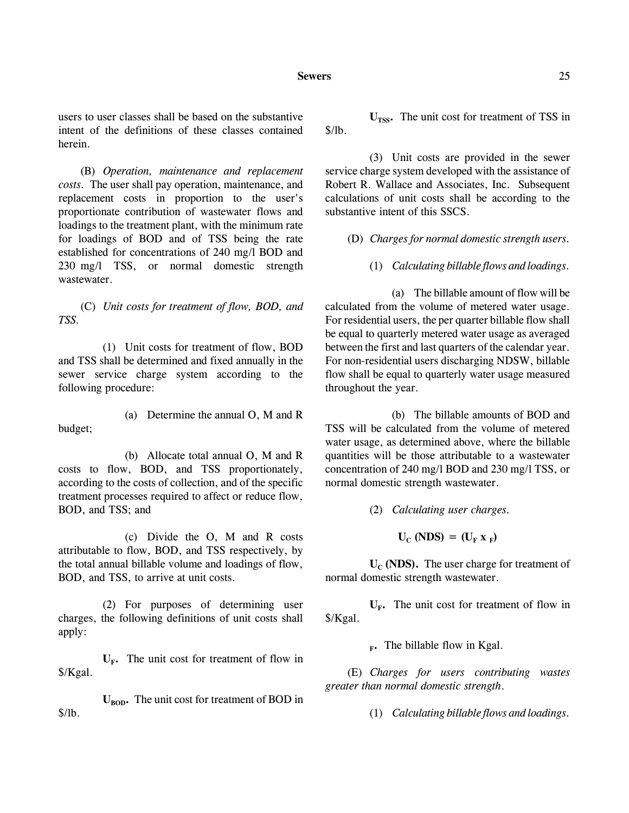#### **Sewers** 25

(B) *Operation, maintenance and replacement costs.* The user shall pay operation, maintenance, and replacement costs in proportion to the user's proportionate contribution of wastewater flows and loadings to the treatment plant, with the minimum rate for loadings of BOD and of TSS being the rate established for concentrations of 240 mg/l BOD and 230 mg/l TSS, or normal domestic strength wastewater.

(C) *Unit costs for treatment of flow, BOD, and TSS.*

(1) Unit costs for treatment of flow, BOD and TSS shall be determined and fixed annually in the sewer service charge system according to the following procedure:

(a) Determine the annual O, M and R budget;

(b) Allocate total annual O, M and R costs to flow, BOD, and TSS proportionately, according to the costs of collection, and of the specific treatment processes required to affect or reduce flow, BOD, and TSS; and

(c) Divide the O, M and R costs attributable to flow, BOD, and TSS respectively, by the total annual billable volume and loadings of flow, BOD, and TSS, to arrive at unit costs.

(2) For purposes of determining user charges, the following definitions of unit costs shall apply:

 $U_{\text{F}}$ . The unit cost for treatment of flow in \$/Kgal.

 $U_{\text{non}}$ . The unit cost for treatment of BOD in  $$/lb.$ 

U<sub>TSS</sub>. The unit cost for treatment of TSS in \$/lb.

(3) Unit costs are provided in the sewer service charge system developed with the assistance of Robert R. Wallace and Associates, Inc. Subsequent calculations of unit costs shall be according to the substantive intent of this SSCS.

(D) *Charges for normal domestic strength users.*

(1) *Calculating billable flows and loadings.* 

(a) The billable amount of flow will be calculated from the volume of metered water usage. For residential users, the per quarter billable flow shall be equal to quarterly metered water usage as averaged between the first and last quarters of the calendar year. For non-residential users discharging NDSW, billable flow shall be equal to quarterly water usage measured throughout the year.

(b) The billable amounts of BOD and TSS will be calculated from the volume of metered water usage, as determined above, where the billable quantities will be those attributable to a wastewater concentration of 240 mg/l BOD and 230 mg/l TSS, or normal domestic strength wastewater.

(2) *Calculating user charges.*

 $U_C (NDS) = (U_F X_F)$ 

 $U_c$  (NDS). The user charge for treatment of normal domestic strength wastewater.

 $U_F$ . The unit cost for treatment of flow in \$/Kgal.

**F.** The billable flow in Kgal.

(E) *Charges for users contributing wastes greater than normal domestic strength*.

(1) *Calculating billable flows and loadings.*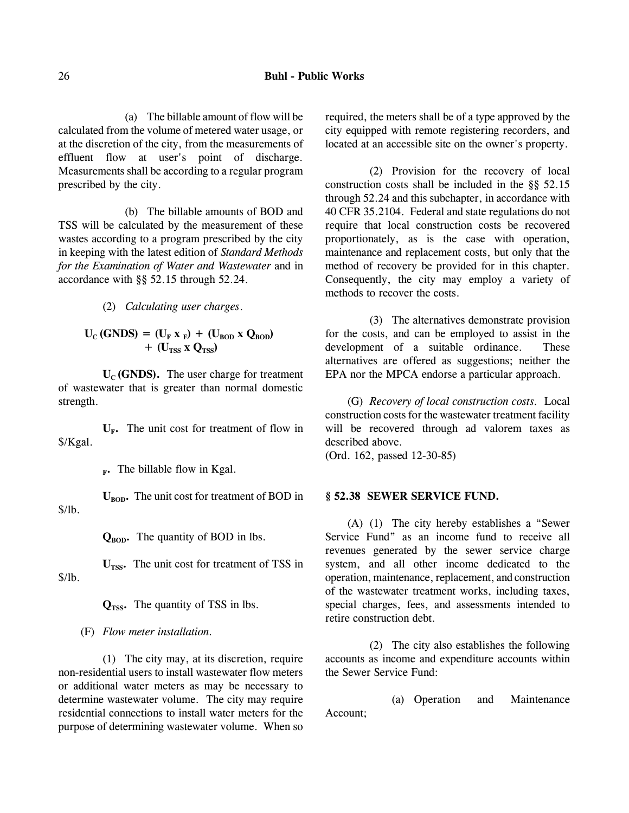(a) The billable amount of flow will be calculated from the volume of metered water usage, or at the discretion of the city, from the measurements of effluent flow at user's point of discharge. Measurements shall be according to a regular program prescribed by the city.

(b) The billable amounts of BOD and TSS will be calculated by the measurement of these wastes according to a program prescribed by the city in keeping with the latest edition of *Standard Methods for the Examination of Water and Wastewater* and in accordance with §§ 52.15 through 52.24.

(2) *Calculating user charges*.

$$
U_C (GNDS) = (U_F x_F) + (U_{BOD} x Q_{BOD})
$$
  
+ (U<sub>TSS</sub> x Q<sub>TSS</sub>)

 $U_c$  (GNDS). The user charge for treatment of wastewater that is greater than normal domestic strength.

 $U_{\text{F}}$ . The unit cost for treatment of flow in \$/Kgal.

**F.** The billable flow in Kgal.

 $U_{\text{non}}$ . The unit cost for treatment of BOD in \$/lb.

 $Q_{\text{RON}}$ . The quantity of BOD in lbs.

 $U<sub>rss</sub>$ . The unit cost for treatment of TSS in \$/lb.

 $Q<sub>TSS</sub>$ . The quantity of TSS in lbs.

(F) *Flow meter installation.*

(1) The city may, at its discretion, require non-residential users to install wastewater flow meters or additional water meters as may be necessary to determine wastewater volume. The city may require residential connections to install water meters for the purpose of determining wastewater volume. When so required, the meters shall be of a type approved by the city equipped with remote registering recorders, and located at an accessible site on the owner's property.

(2) Provision for the recovery of local construction costs shall be included in the §§ 52.15 through 52.24 and this subchapter, in accordance with 40 CFR 35.2104. Federal and state regulations do not require that local construction costs be recovered proportionately, as is the case with operation, maintenance and replacement costs, but only that the method of recovery be provided for in this chapter. Consequently, the city may employ a variety of methods to recover the costs.

(3) The alternatives demonstrate provision for the costs, and can be employed to assist in the development of a suitable ordinance. These alternatives are offered as suggestions; neither the EPA nor the MPCA endorse a particular approach.

(G) *Recovery of local construction costs.* Local construction costs for the wastewater treatment facility will be recovered through ad valorem taxes as described above.

(Ord. 162, passed 12-30-85)

#### **§ 52.38 SEWER SERVICE FUND.**

(A) (1) The city hereby establishes a "Sewer Service Fund" as an income fund to receive all revenues generated by the sewer service charge system, and all other income dedicated to the operation, maintenance, replacement, and construction of the wastewater treatment works, including taxes, special charges, fees, and assessments intended to retire construction debt.

(2) The city also establishes the following accounts as income and expenditure accounts within the Sewer Service Fund:

(a) Operation and Maintenance Account;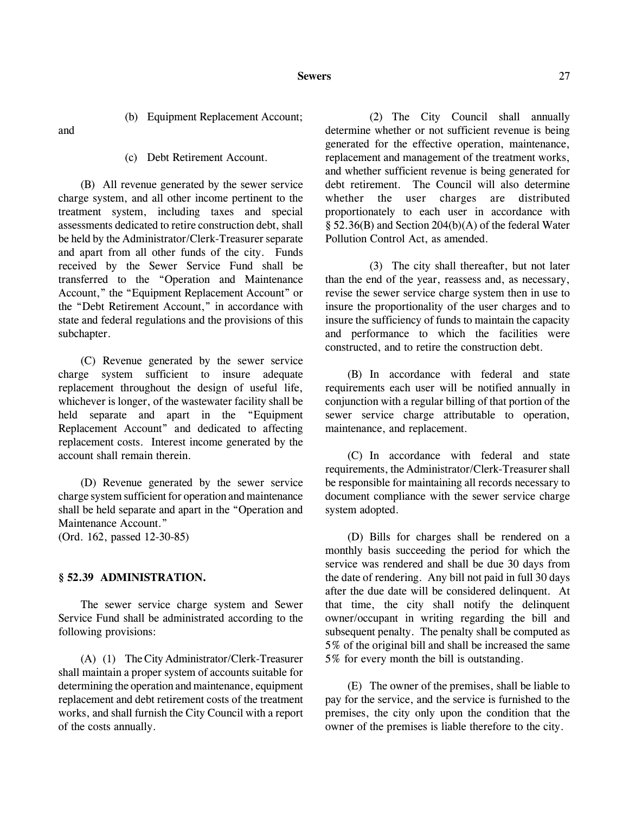(b) Equipment Replacement Account;

and

(c) Debt Retirement Account.

(B) All revenue generated by the sewer service charge system, and all other income pertinent to the treatment system, including taxes and special assessments dedicated to retire construction debt, shall be held by the Administrator/Clerk-Treasurer separate and apart from all other funds of the city. Funds received by the Sewer Service Fund shall be transferred to the "Operation and Maintenance Account," the "Equipment Replacement Account" or the "Debt Retirement Account," in accordance with state and federal regulations and the provisions of this subchapter.

(C) Revenue generated by the sewer service charge system sufficient to insure adequate replacement throughout the design of useful life, whichever is longer, of the wastewater facility shall be held separate and apart in the "Equipment Replacement Account" and dedicated to affecting replacement costs. Interest income generated by the account shall remain therein.

(D) Revenue generated by the sewer service charge system sufficient for operation and maintenance shall be held separate and apart in the "Operation and Maintenance Account." (Ord. 162, passed 12-30-85)

### **§ 52.39 ADMINISTRATION.**

The sewer service charge system and Sewer Service Fund shall be administrated according to the following provisions:

(A) (1) The City Administrator/Clerk-Treasurer shall maintain a proper system of accounts suitable for determining the operation and maintenance, equipment replacement and debt retirement costs of the treatment works, and shall furnish the City Council with a report of the costs annually.

(2) The City Council shall annually determine whether or not sufficient revenue is being generated for the effective operation, maintenance, replacement and management of the treatment works, and whether sufficient revenue is being generated for debt retirement. The Council will also determine whether the user charges are distributed proportionately to each user in accordance with § 52.36(B) and Section 204(b)(A) of the federal Water Pollution Control Act, as amended.

(3) The city shall thereafter, but not later than the end of the year, reassess and, as necessary, revise the sewer service charge system then in use to insure the proportionality of the user charges and to insure the sufficiency of funds to maintain the capacity and performance to which the facilities were constructed, and to retire the construction debt.

(B) In accordance with federal and state requirements each user will be notified annually in conjunction with a regular billing of that portion of the sewer service charge attributable to operation, maintenance, and replacement.

(C) In accordance with federal and state requirements, the Administrator/Clerk-Treasurer shall be responsible for maintaining all records necessary to document compliance with the sewer service charge system adopted.

(D) Bills for charges shall be rendered on a monthly basis succeeding the period for which the service was rendered and shall be due 30 days from the date of rendering. Any bill not paid in full 30 days after the due date will be considered delinquent. At that time, the city shall notify the delinquent owner/occupant in writing regarding the bill and subsequent penalty. The penalty shall be computed as 5% of the original bill and shall be increased the same 5% for every month the bill is outstanding.

(E) The owner of the premises, shall be liable to pay for the service, and the service is furnished to the premises, the city only upon the condition that the owner of the premises is liable therefore to the city.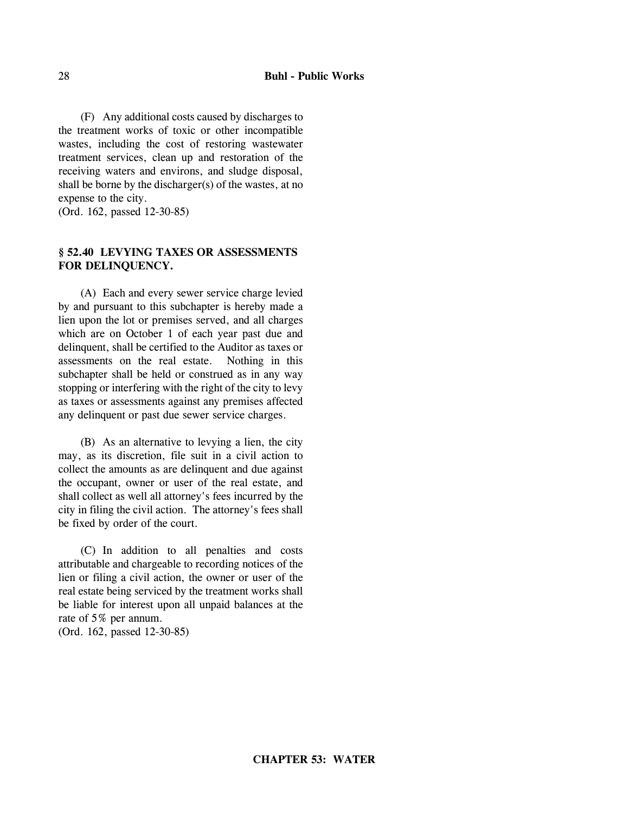(F) Any additional costs caused by discharges to the treatment works of toxic or other incompatible wastes, including the cost of restoring wastewater treatment services, clean up and restoration of the receiving waters and environs, and sludge disposal, shall be borne by the discharger(s) of the wastes, at no expense to the city.

(Ord. 162, passed 12-30-85)

# **§ 52.40 LEVYING TAXES OR ASSESSMENTS FOR DELINQUENCY.**

(A) Each and every sewer service charge levied by and pursuant to this subchapter is hereby made a lien upon the lot or premises served, and all charges which are on October 1 of each year past due and delinquent, shall be certified to the Auditor as taxes or assessments on the real estate. Nothing in this subchapter shall be held or construed as in any way stopping or interfering with the right of the city to levy as taxes or assessments against any premises affected any delinquent or past due sewer service charges.

(B) As an alternative to levying a lien, the city may, as its discretion, file suit in a civil action to collect the amounts as are delinquent and due against the occupant, owner or user of the real estate, and shall collect as well all attorney's fees incurred by the city in filing the civil action. The attorney's fees shall be fixed by order of the court.

(C) In addition to all penalties and costs attributable and chargeable to recording notices of the lien or filing a civil action, the owner or user of the real estate being serviced by the treatment works shall be liable for interest upon all unpaid balances at the rate of 5% per annum.

(Ord. 162, passed 12-30-85)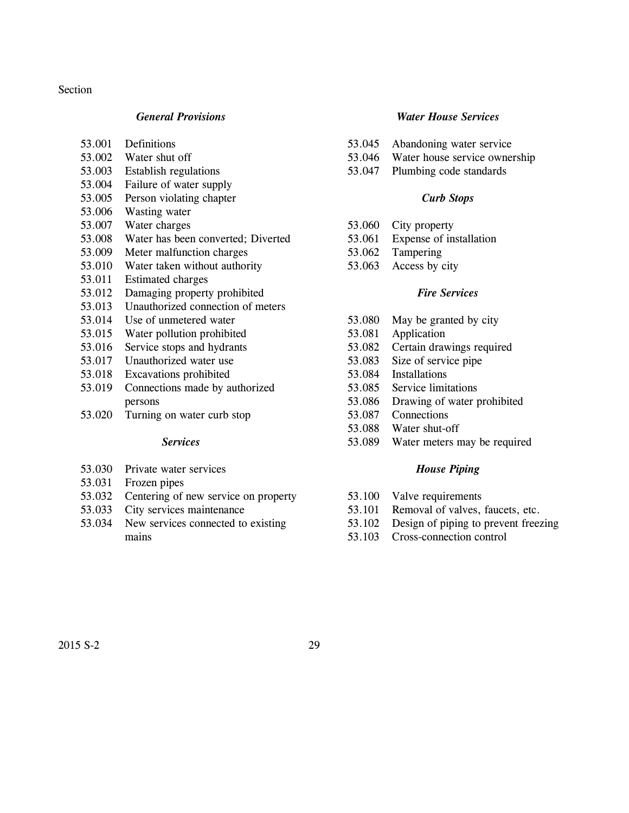#### Section

# *General Provisions*

- 53.001 Definitions
- 53.002 Water shut off
- 53.003 Establish regulations
- 53.004 Failure of water supply
- 53.005 Person violating chapter
- 53.006 Wasting water
- 53.007 Water charges
- 53.008 Water has been converted; Diverted
- 53.009 Meter malfunction charges
- 53.010 Water taken without authority
- 53.011 Estimated charges
- 53.012 Damaging property prohibited
- 53.013 Unauthorized connection of meters
- 53.014 Use of unmetered water
- 53.015 Water pollution prohibited
- 53.016 Service stops and hydrants
- 53.017 Unauthorized water use
- 53.018 Excavations prohibited
- 53.019 Connections made by authorized persons
- 53.020 Turning on water curb stop

#### *Services*

- 53.030 Private water services
- 53.031 Frozen pipes
- 53.032 Centering of new service on property
- 53.033 City services maintenance
- 53.034 New services connected to existing mains

#### *Water House Services*

- 53.045 Abandoning water service
- 53.046 Water house service ownership
- 53.047 Plumbing code standards

# *Curb Stops*

- 53.060 City property
- 53.061 Expense of installation
- 53.062 Tampering
- 53.063 Access by city

#### *Fire Services*

- 53.080 May be granted by city
- 53.081 Application
- 53.082 Certain drawings required
- 53.083 Size of service pipe
- 53.084 Installations
- 53.085 Service limitations
- 53.086 Drawing of water prohibited
- 53.087 Connections
- 53.088 Water shut-off
- 53.089 Water meters may be required

#### *House Piping*

- 53.100 Valve requirements
- 53.101 Removal of valves, faucets, etc.
- 53.102 Design of piping to prevent freezing
- 53.103 Cross-connection control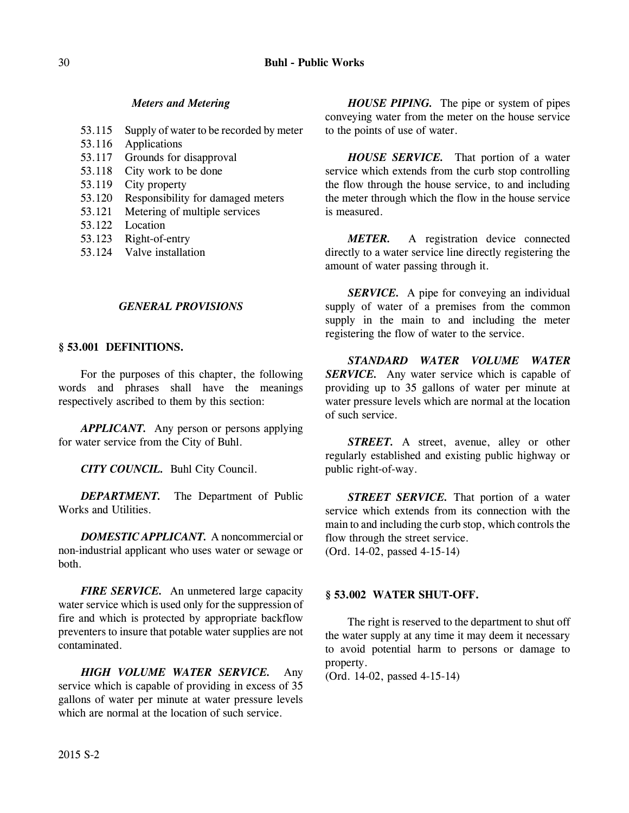# *Meters and Metering*

- 53.115 Supply of water to be recorded by meter
- 53.116 Applications
- 53.117 Grounds for disapproval
- 53.118 City work to be done
- 53.119 City property
- 53.120 Responsibility for damaged meters
- 53.121 Metering of multiple services
- 53.122 Location
- 53.123 Right-of-entry
- 53.124 Valve installation

# *GENERAL PROVISIONS*

# **§ 53.001 DEFINITIONS.**

For the purposes of this chapter, the following words and phrases shall have the meanings respectively ascribed to them by this section:

*APPLICANT.* Any person or persons applying for water service from the City of Buhl.

*CITY COUNCIL.* Buhl City Council.

*DEPARTMENT.* The Department of Public Works and Utilities.

*DOMESTIC APPLICANT.* A noncommercial or non-industrial applicant who uses water or sewage or both.

*FIRE SERVICE.* An unmetered large capacity water service which is used only for the suppression of fire and which is protected by appropriate backflow preventers to insure that potable water supplies are not contaminated.

*HIGH VOLUME WATER SERVICE.* Any service which is capable of providing in excess of 35 gallons of water per minute at water pressure levels which are normal at the location of such service.

*HOUSE PIPING.* The pipe or system of pipes conveying water from the meter on the house service to the points of use of water.

*HOUSE SERVICE.* That portion of a water service which extends from the curb stop controlling the flow through the house service, to and including the meter through which the flow in the house service is measured.

*METER.* A registration device connected directly to a water service line directly registering the amount of water passing through it.

*SERVICE.* A pipe for conveying an individual supply of water of a premises from the common supply in the main to and including the meter registering the flow of water to the service.

*STANDARD WATER VOLUME WATER SERVICE.* Any water service which is capable of providing up to 35 gallons of water per minute at water pressure levels which are normal at the location of such service.

*STREET.* A street, avenue, alley or other regularly established and existing public highway or public right-of-way.

*STREET SERVICE.* That portion of a water service which extends from its connection with the main to and including the curb stop, which controls the flow through the street service. (Ord. 14-02, passed 4-15-14)

# **§ 53.002 WATER SHUT-OFF.**

The right is reserved to the department to shut off the water supply at any time it may deem it necessary to avoid potential harm to persons or damage to property.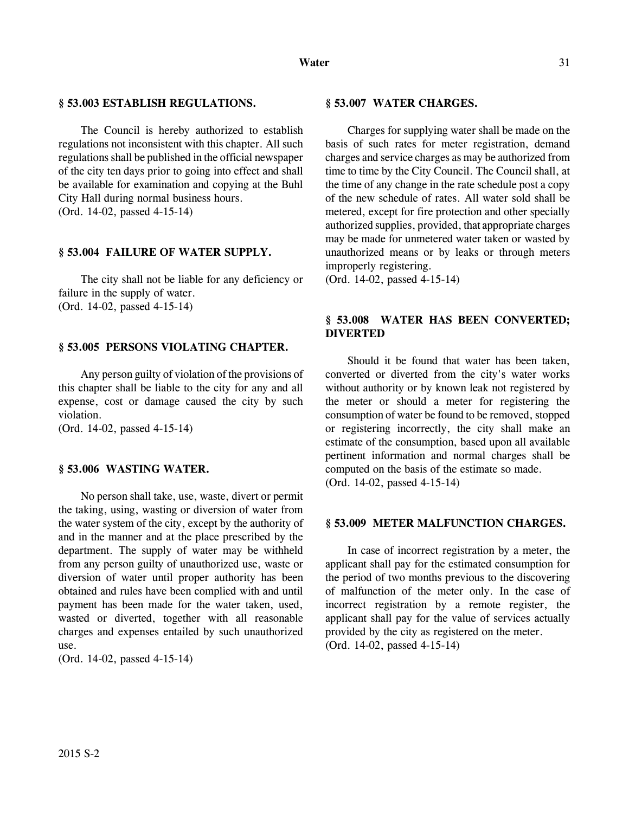The Council is hereby authorized to establish regulations not inconsistent with this chapter. All such regulations shall be published in the official newspaper of the city ten days prior to going into effect and shall be available for examination and copying at the Buhl City Hall during normal business hours. (Ord. 14-02, passed 4-15-14)

#### **§ 53.004 FAILURE OF WATER SUPPLY.**

The city shall not be liable for any deficiency or failure in the supply of water. (Ord. 14-02, passed 4-15-14)

### **§ 53.005 PERSONS VIOLATING CHAPTER.**

Any person guilty of violation of the provisions of this chapter shall be liable to the city for any and all expense, cost or damage caused the city by such violation.

(Ord. 14-02, passed 4-15-14)

#### **§ 53.006 WASTING WATER.**

No person shall take, use, waste, divert or permit the taking, using, wasting or diversion of water from the water system of the city, except by the authority of and in the manner and at the place prescribed by the department. The supply of water may be withheld from any person guilty of unauthorized use, waste or diversion of water until proper authority has been obtained and rules have been complied with and until payment has been made for the water taken, used, wasted or diverted, together with all reasonable charges and expenses entailed by such unauthorized use.

(Ord. 14-02, passed 4-15-14)

#### **§ 53.007 WATER CHARGES.**

Charges for supplying water shall be made on the basis of such rates for meter registration, demand charges and service charges as may be authorized from time to time by the City Council. The Council shall, at the time of any change in the rate schedule post a copy of the new schedule of rates. All water sold shall be metered, except for fire protection and other specially authorized supplies, provided, that appropriate charges may be made for unmetered water taken or wasted by unauthorized means or by leaks or through meters improperly registering.

(Ord. 14-02, passed 4-15-14)

# **§ 53.008 WATER HAS BEEN CONVERTED; DIVERTED**

Should it be found that water has been taken, converted or diverted from the city's water works without authority or by known leak not registered by the meter or should a meter for registering the consumption of water be found to be removed, stopped or registering incorrectly, the city shall make an estimate of the consumption, based upon all available pertinent information and normal charges shall be computed on the basis of the estimate so made. (Ord. 14-02, passed 4-15-14)

#### **§ 53.009 METER MALFUNCTION CHARGES.**

In case of incorrect registration by a meter, the applicant shall pay for the estimated consumption for the period of two months previous to the discovering of malfunction of the meter only. In the case of incorrect registration by a remote register, the applicant shall pay for the value of services actually provided by the city as registered on the meter. (Ord. 14-02, passed 4-15-14)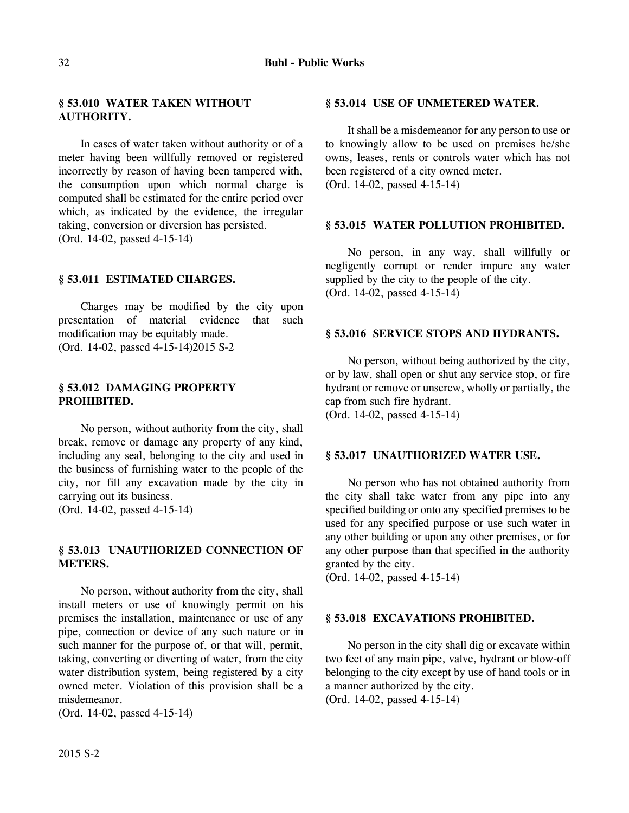# **§ 53.010 WATER TAKEN WITHOUT AUTHORITY.**

In cases of water taken without authority or of a meter having been willfully removed or registered incorrectly by reason of having been tampered with, the consumption upon which normal charge is computed shall be estimated for the entire period over which, as indicated by the evidence, the irregular taking, conversion or diversion has persisted. (Ord. 14-02, passed 4-15-14)

### **§ 53.011 ESTIMATED CHARGES.**

Charges may be modified by the city upon presentation of material evidence that such modification may be equitably made. (Ord. 14-02, passed 4-15-14)2015 S-2

# **§ 53.012 DAMAGING PROPERTY PROHIBITED.**

No person, without authority from the city, shall break, remove or damage any property of any kind, including any seal, belonging to the city and used in the business of furnishing water to the people of the city, nor fill any excavation made by the city in carrying out its business.

(Ord. 14-02, passed 4-15-14)

# **§ 53.013 UNAUTHORIZED CONNECTION OF METERS.**

No person, without authority from the city, shall install meters or use of knowingly permit on his premises the installation, maintenance or use of any pipe, connection or device of any such nature or in such manner for the purpose of, or that will, permit, taking, converting or diverting of water, from the city water distribution system, being registered by a city owned meter. Violation of this provision shall be a misdemeanor.

(Ord. 14-02, passed 4-15-14)

#### **§ 53.014 USE OF UNMETERED WATER.**

It shall be a misdemeanor for any person to use or to knowingly allow to be used on premises he/she owns, leases, rents or controls water which has not been registered of a city owned meter. (Ord. 14-02, passed 4-15-14)

#### **§ 53.015 WATER POLLUTION PROHIBITED.**

No person, in any way, shall willfully or negligently corrupt or render impure any water supplied by the city to the people of the city. (Ord. 14-02, passed 4-15-14)

# **§ 53.016 SERVICE STOPS AND HYDRANTS.**

No person, without being authorized by the city, or by law, shall open or shut any service stop, or fire hydrant or remove or unscrew, wholly or partially, the cap from such fire hydrant. (Ord. 14-02, passed 4-15-14)

### **§ 53.017 UNAUTHORIZED WATER USE.**

No person who has not obtained authority from the city shall take water from any pipe into any specified building or onto any specified premises to be used for any specified purpose or use such water in any other building or upon any other premises, or for any other purpose than that specified in the authority granted by the city.

(Ord. 14-02, passed 4-15-14)

### **§ 53.018 EXCAVATIONS PROHIBITED.**

No person in the city shall dig or excavate within two feet of any main pipe, valve, hydrant or blow-off belonging to the city except by use of hand tools or in a manner authorized by the city.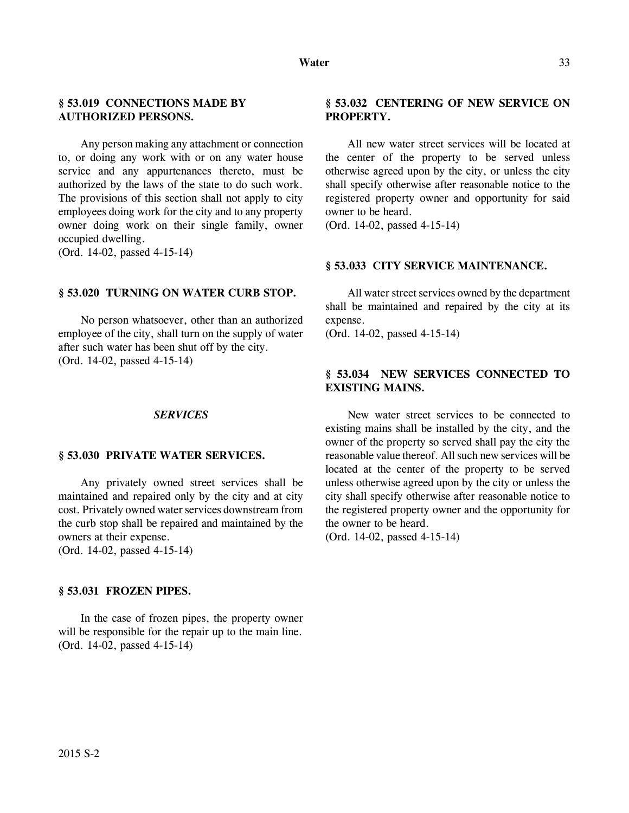# **§ 53.019 CONNECTIONS MADE BY AUTHORIZED PERSONS.**

Any person making any attachment or connection to, or doing any work with or on any water house service and any appurtenances thereto, must be authorized by the laws of the state to do such work. The provisions of this section shall not apply to city employees doing work for the city and to any property owner doing work on their single family, owner occupied dwelling.

(Ord. 14-02, passed 4-15-14)

#### **§ 53.020 TURNING ON WATER CURB STOP.**

No person whatsoever, other than an authorized employee of the city, shall turn on the supply of water after such water has been shut off by the city. (Ord. 14-02, passed 4-15-14)

#### *SERVICES*

#### **§ 53.030 PRIVATE WATER SERVICES.**

Any privately owned street services shall be maintained and repaired only by the city and at city cost. Privately owned water services downstream from the curb stop shall be repaired and maintained by the owners at their expense.

(Ord. 14-02, passed 4-15-14)

#### **§ 53.031 FROZEN PIPES.**

In the case of frozen pipes, the property owner will be responsible for the repair up to the main line. (Ord. 14-02, passed 4-15-14)

# **§ 53.032 CENTERING OF NEW SERVICE ON PROPERTY.**

All new water street services will be located at the center of the property to be served unless otherwise agreed upon by the city, or unless the city shall specify otherwise after reasonable notice to the registered property owner and opportunity for said owner to be heard.

(Ord. 14-02, passed 4-15-14)

#### **§ 53.033 CITY SERVICE MAINTENANCE.**

All water street services owned by the department shall be maintained and repaired by the city at its expense.

(Ord. 14-02, passed 4-15-14)

# **§ 53.034 NEW SERVICES CONNECTED TO EXISTING MAINS.**

New water street services to be connected to existing mains shall be installed by the city, and the owner of the property so served shall pay the city the reasonable value thereof. All such new services will be located at the center of the property to be served unless otherwise agreed upon by the city or unless the city shall specify otherwise after reasonable notice to the registered property owner and the opportunity for the owner to be heard.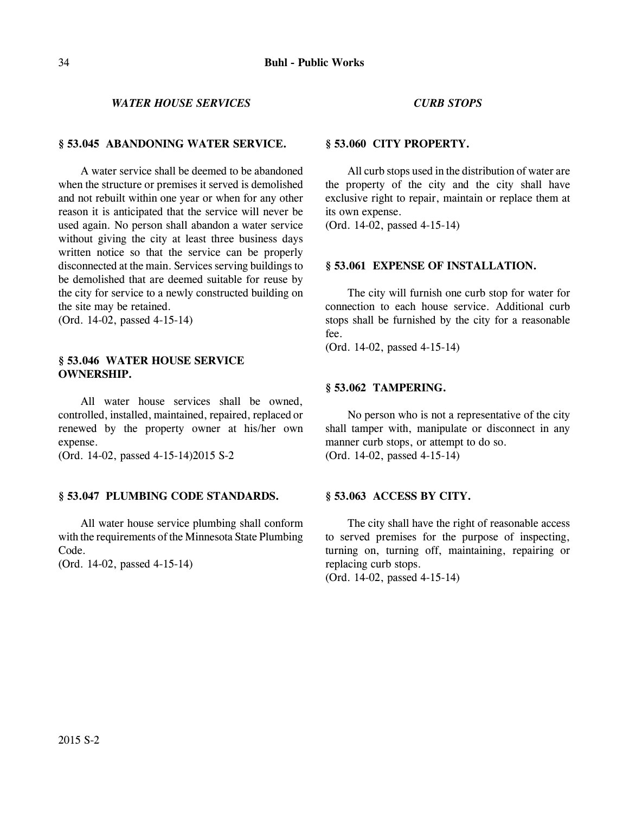# *WATER HOUSE SERVICES*

### **§ 53.045 ABANDONING WATER SERVICE.**

A water service shall be deemed to be abandoned when the structure or premises it served is demolished and not rebuilt within one year or when for any other reason it is anticipated that the service will never be used again. No person shall abandon a water service without giving the city at least three business days written notice so that the service can be properly disconnected at the main. Services serving buildings to be demolished that are deemed suitable for reuse by the city for service to a newly constructed building on the site may be retained.

(Ord. 14-02, passed 4-15-14)

# **§ 53.046 WATER HOUSE SERVICE OWNERSHIP.**

All water house services shall be owned, controlled, installed, maintained, repaired, replaced or renewed by the property owner at his/her own expense.

(Ord. 14-02, passed 4-15-14)2015 S-2

### **§ 53.047 PLUMBING CODE STANDARDS.**

All water house service plumbing shall conform with the requirements of the Minnesota State Plumbing Code.

(Ord. 14-02, passed 4-15-14)

### *CURB STOPS*

#### **§ 53.060 CITY PROPERTY.**

All curb stops used in the distribution of water are the property of the city and the city shall have exclusive right to repair, maintain or replace them at its own expense.

(Ord. 14-02, passed 4-15-14)

#### **§ 53.061 EXPENSE OF INSTALLATION.**

The city will furnish one curb stop for water for connection to each house service. Additional curb stops shall be furnished by the city for a reasonable fee.

(Ord. 14-02, passed 4-15-14)

#### **§ 53.062 TAMPERING.**

No person who is not a representative of the city shall tamper with, manipulate or disconnect in any manner curb stops, or attempt to do so. (Ord. 14-02, passed 4-15-14)

#### **§ 53.063 ACCESS BY CITY.**

The city shall have the right of reasonable access to served premises for the purpose of inspecting, turning on, turning off, maintaining, repairing or replacing curb stops.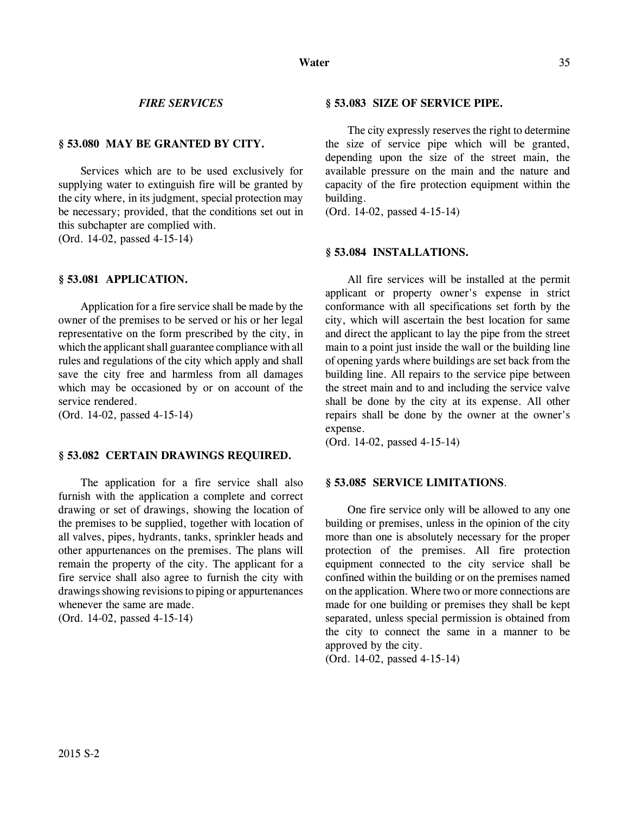### *FIRE SERVICES*

# **§ 53.080 MAY BE GRANTED BY CITY.**

Services which are to be used exclusively for supplying water to extinguish fire will be granted by the city where, in its judgment, special protection may be necessary; provided, that the conditions set out in this subchapter are complied with.

(Ord. 14-02, passed 4-15-14)

### **§ 53.081 APPLICATION.**

Application for a fire service shall be made by the owner of the premises to be served or his or her legal representative on the form prescribed by the city, in which the applicant shall guarantee compliance with all rules and regulations of the city which apply and shall save the city free and harmless from all damages which may be occasioned by or on account of the service rendered.

(Ord. 14-02, passed 4-15-14)

# **§ 53.082 CERTAIN DRAWINGS REQUIRED.**

The application for a fire service shall also furnish with the application a complete and correct drawing or set of drawings, showing the location of the premises to be supplied, together with location of all valves, pipes, hydrants, tanks, sprinkler heads and other appurtenances on the premises. The plans will remain the property of the city. The applicant for a fire service shall also agree to furnish the city with drawings showing revisions to piping or appurtenances whenever the same are made.

(Ord. 14-02, passed 4-15-14)

#### **§ 53.083 SIZE OF SERVICE PIPE.**

The city expressly reserves the right to determine the size of service pipe which will be granted, depending upon the size of the street main, the available pressure on the main and the nature and capacity of the fire protection equipment within the building.

(Ord. 14-02, passed 4-15-14)

#### **§ 53.084 INSTALLATIONS.**

All fire services will be installed at the permit applicant or property owner's expense in strict conformance with all specifications set forth by the city, which will ascertain the best location for same and direct the applicant to lay the pipe from the street main to a point just inside the wall or the building line of opening yards where buildings are set back from the building line. All repairs to the service pipe between the street main and to and including the service valve shall be done by the city at its expense. All other repairs shall be done by the owner at the owner's expense.

(Ord. 14-02, passed 4-15-14)

#### **§ 53.085 SERVICE LIMITATIONS**.

One fire service only will be allowed to any one building or premises, unless in the opinion of the city more than one is absolutely necessary for the proper protection of the premises. All fire protection equipment connected to the city service shall be confined within the building or on the premises named on the application. Where two or more connections are made for one building or premises they shall be kept separated, unless special permission is obtained from the city to connect the same in a manner to be approved by the city.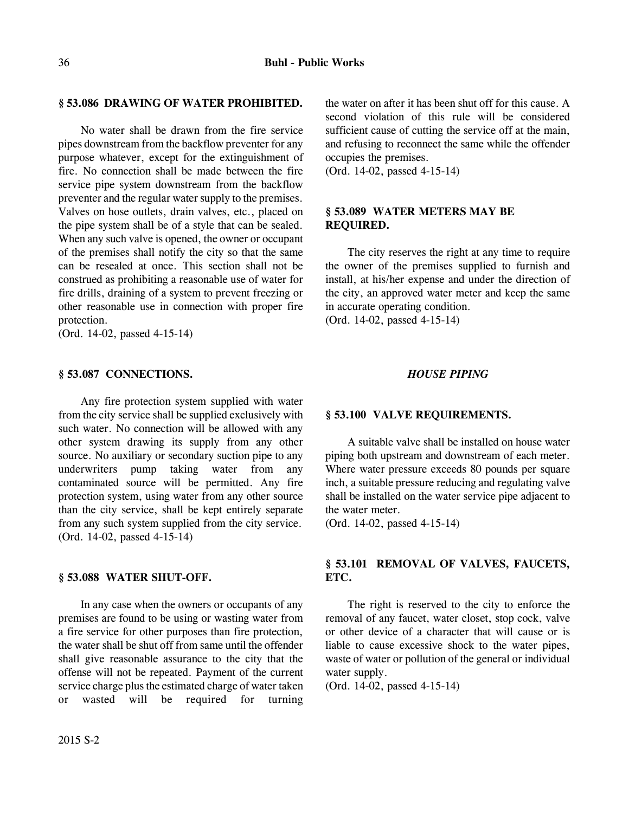# **§ 53.086 DRAWING OF WATER PROHIBITED.**

No water shall be drawn from the fire service pipes downstream from the backflow preventer for any purpose whatever, except for the extinguishment of fire. No connection shall be made between the fire service pipe system downstream from the backflow preventer and the regular water supply to the premises. Valves on hose outlets, drain valves, etc., placed on the pipe system shall be of a style that can be sealed. When any such valve is opened, the owner or occupant of the premises shall notify the city so that the same can be resealed at once. This section shall not be construed as prohibiting a reasonable use of water for fire drills, draining of a system to prevent freezing or other reasonable use in connection with proper fire protection.

(Ord. 14-02, passed 4-15-14)

# **§ 53.087 CONNECTIONS.**

Any fire protection system supplied with water from the city service shall be supplied exclusively with such water. No connection will be allowed with any other system drawing its supply from any other source. No auxiliary or secondary suction pipe to any underwriters pump taking water from any contaminated source will be permitted. Any fire protection system, using water from any other source than the city service, shall be kept entirely separate from any such system supplied from the city service. (Ord. 14-02, passed 4-15-14)

### **§ 53.088 WATER SHUT-OFF.**

In any case when the owners or occupants of any premises are found to be using or wasting water from a fire service for other purposes than fire protection, the water shall be shut off from same until the offender shall give reasonable assurance to the city that the offense will not be repeated. Payment of the current service charge plus the estimated charge of water taken or wasted will be required for turning the water on after it has been shut off for this cause. A second violation of this rule will be considered sufficient cause of cutting the service off at the main, and refusing to reconnect the same while the offender occupies the premises.

(Ord. 14-02, passed 4-15-14)

# **§ 53.089 WATER METERS MAY BE REQUIRED.**

The city reserves the right at any time to require the owner of the premises supplied to furnish and install, at his/her expense and under the direction of the city, an approved water meter and keep the same in accurate operating condition. (Ord. 14-02, passed 4-15-14)

# *HOUSE PIPING*

# **§ 53.100 VALVE REQUIREMENTS.**

A suitable valve shall be installed on house water piping both upstream and downstream of each meter. Where water pressure exceeds 80 pounds per square inch, a suitable pressure reducing and regulating valve shall be installed on the water service pipe adjacent to the water meter.

(Ord. 14-02, passed 4-15-14)

# **§ 53.101 REMOVAL OF VALVES, FAUCETS, ETC.**

The right is reserved to the city to enforce the removal of any faucet, water closet, stop cock, valve or other device of a character that will cause or is liable to cause excessive shock to the water pipes, waste of water or pollution of the general or individual water supply.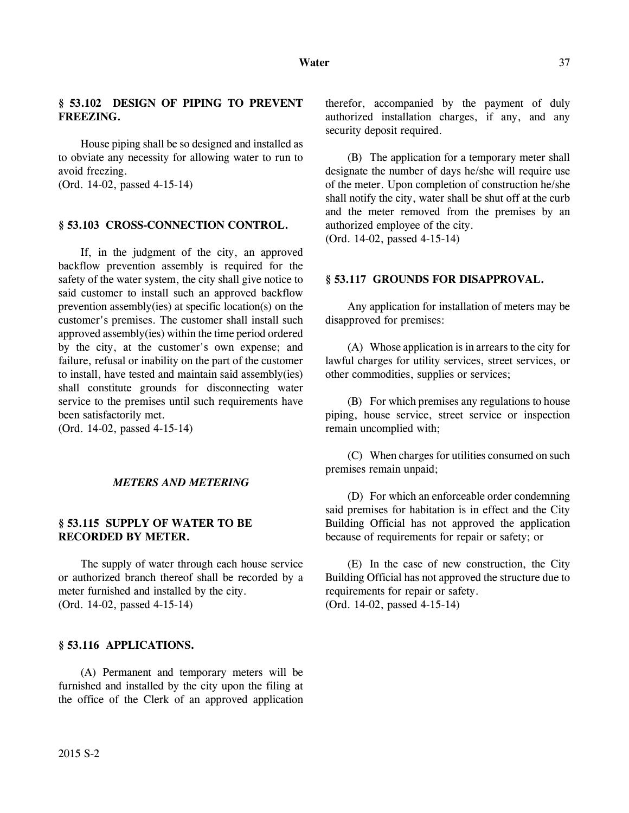House piping shall be so designed and installed as to obviate any necessity for allowing water to run to avoid freezing.

(Ord. 14-02, passed 4-15-14)

#### **§ 53.103 CROSS-CONNECTION CONTROL.**

If, in the judgment of the city, an approved backflow prevention assembly is required for the safety of the water system, the city shall give notice to said customer to install such an approved backflow prevention assembly(ies) at specific location(s) on the customer's premises. The customer shall install such approved assembly(ies) within the time period ordered by the city, at the customer's own expense; and failure, refusal or inability on the part of the customer to install, have tested and maintain said assembly(ies) shall constitute grounds for disconnecting water service to the premises until such requirements have been satisfactorily met.

(Ord. 14-02, passed 4-15-14)

### *METERS AND METERING*

# **§ 53.115 SUPPLY OF WATER TO BE RECORDED BY METER.**

The supply of water through each house service or authorized branch thereof shall be recorded by a meter furnished and installed by the city. (Ord. 14-02, passed 4-15-14)

# **§ 53.116 APPLICATIONS.**

(A) Permanent and temporary meters will be furnished and installed by the city upon the filing at the office of the Clerk of an approved application therefor, accompanied by the payment of duly authorized installation charges, if any, and any security deposit required.

(B) The application for a temporary meter shall designate the number of days he/she will require use of the meter. Upon completion of construction he/she shall notify the city, water shall be shut off at the curb and the meter removed from the premises by an authorized employee of the city.

(Ord. 14-02, passed 4-15-14)

### **§ 53.117 GROUNDS FOR DISAPPROVAL.**

Any application for installation of meters may be disapproved for premises:

(A) Whose application is in arrears to the city for lawful charges for utility services, street services, or other commodities, supplies or services;

(B) For which premises any regulations to house piping, house service, street service or inspection remain uncomplied with;

(C) When charges for utilities consumed on such premises remain unpaid;

(D) For which an enforceable order condemning said premises for habitation is in effect and the City Building Official has not approved the application because of requirements for repair or safety; or

(E) In the case of new construction, the City Building Official has not approved the structure due to requirements for repair or safety. (Ord. 14-02, passed 4-15-14)